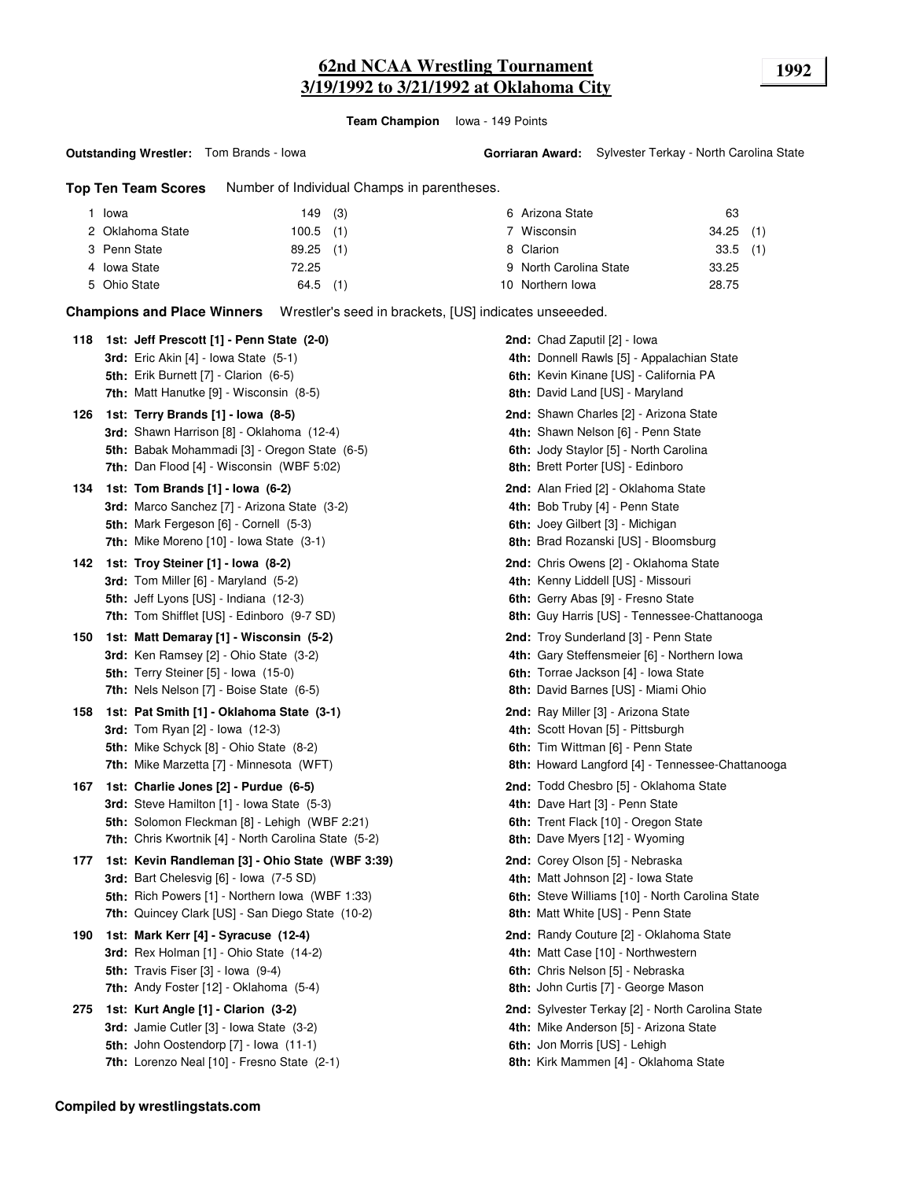## **62nd NCAA Wrestling Tournament 1992 3/19/1992 to 3/21/1992 at Oklahoma City**

**Team Champion** Iowa - 149 Points

**Top Ten Team Scores** Number of Individual Champs in parentheses.

| Iowa             | 149 (3)     | 6 Arizona State        | 63          |
|------------------|-------------|------------------------|-------------|
| 2 Oklahoma State | $100.5$ (1) | Wisconsin              | $34.25$ (1) |
| 3 Penn State     | $89.25$ (1) | 8 Clarion              | $33.5$ (1)  |
| 4 Iowa State     | 72.25       | 9 North Carolina State | 33.25       |
| 5 Ohio State     | $64.5$ (1)  | 10 Northern Iowa       | 28.75       |

**Champions and Place Winners** Wrestler's seed in brackets, [US] indicates unseeeded.

| 118 | 1st: Jeff Prescott [1] - Penn State (2-0)<br><b>3rd:</b> Eric Akin $[4]$ - Iowa State $(5-1)$<br><b>5th:</b> Erik Burnett [7] - Clarion (6-5)<br>7th: Matt Hanutke [9] - Wisconsin (8-5)                  | <b>2nd:</b> Chad Zaputil [2] - Iowa<br>4th: Donnell Rawls [5] - Appalachian State<br>6th: Kevin Kinane [US] - California PA<br>8th: David Land [US] - Maryland                     |
|-----|-----------------------------------------------------------------------------------------------------------------------------------------------------------------------------------------------------------|------------------------------------------------------------------------------------------------------------------------------------------------------------------------------------|
| 126 | 1st: Terry Brands [1] - Iowa (8-5)<br><b>3rd:</b> Shawn Harrison [8] - Oklahoma (12-4)<br>5th: Babak Mohammadi [3] - Oregon State (6-5)<br><b>7th:</b> Dan Flood [4] - Wisconsin (WBF 5:02)               | <b>2nd:</b> Shawn Charles [2] - Arizona State<br>4th: Shawn Nelson [6] - Penn State<br>6th: Jody Staylor [5] - North Carolina<br>8th: Brett Porter [US] - Edinboro                 |
| 134 | 1st: Tom Brands [1] - Iowa (6-2)<br><b>3rd:</b> Marco Sanchez [7] - Arizona State (3-2)<br>5th: Mark Fergeson [6] - Cornell (5-3)<br>7th: Mike Moreno [10] - Iowa State (3-1)                             | <b>2nd:</b> Alan Fried [2] - Oklahoma State<br>4th: Bob Truby [4] - Penn State<br>6th: Joey Gilbert [3] - Michigan<br>8th: Brad Rozanski [US] - Bloomsburg                         |
| 142 | 1st: Troy Steiner [1] - Iowa (8-2)<br><b>3rd:</b> Tom Miller $[6]$ - Maryland $(5-2)$<br>5th: Jeff Lyons [US] - Indiana (12-3)<br><b>7th:</b> Tom Shifflet [US] - Edinboro (9-7 SD)                       | <b>2nd:</b> Chris Owens [2] - Oklahoma State<br>4th: Kenny Liddell [US] - Missouri<br>6th: Gerry Abas [9] - Fresno State<br>8th: Guy Harris [US] - Tennessee-Chattanooga           |
| 150 | 1st: Matt Demaray [1] - Wisconsin (5-2)<br><b>3rd:</b> Ken Ramsey [2] - Ohio State (3-2)<br><b>5th:</b> Terry Steiner [5] - Iowa (15-0)<br>7th: Nels Nelson [7] - Boise State (6-5)                       | <b>2nd:</b> Troy Sunderland [3] - Penn State<br>4th: Gary Steffensmeier [6] - Northern Iowa<br>6th: Torrae Jackson [4] - Iowa State<br>8th: David Barnes [US] - Miami Ohio         |
| 158 | 1st: Pat Smith [1] - Oklahoma State (3-1)<br><b>3rd:</b> Tom Ryan [2] - Iowa (12-3)<br>5th: Mike Schyck [8] - Ohio State (8-2)<br>7th: Mike Marzetta [7] - Minnesota (WFT)                                | <b>2nd:</b> Ray Miller [3] - Arizona State<br>4th: Scott Hovan [5] - Pittsburgh<br>6th: Tim Wittman [6] - Penn State<br>8th: Howard Langford [4] - Tennessee-Chattanooga           |
| 167 | 1st: Charlie Jones [2] - Purdue (6-5)<br><b>3rd:</b> Steve Hamilton [1] - Iowa State (5-3)<br>5th: Solomon Fleckman [8] - Lehigh (WBF 2:21)<br>7th: Chris Kwortnik [4] - North Carolina State (5-2)       | <b>2nd:</b> Todd Chesbro [5] - Oklahoma State<br>4th: Dave Hart [3] - Penn State<br>6th: Trent Flack [10] - Oregon State<br>8th: Dave Myers [12] - Wyoming                         |
| 177 | 1st: Kevin Randleman [3] - Ohio State (WBF 3:39)<br><b>3rd:</b> Bart Chelesvig [6] - Iowa (7-5 SD)<br>5th: Rich Powers [1] - Northern Iowa (WBF 1:33)<br>7th: Quincey Clark [US] - San Diego State (10-2) | <b>2nd:</b> Corey Olson [5] - Nebraska<br>4th: Matt Johnson [2] - Iowa State<br>6th: Steve Williams [10] - North Carolina State<br>8th: Matt White [US] - Penn State               |
| 190 | 1st: Mark Kerr [4] - Syracuse (12-4)<br>3rd: Rex Holman [1] - Ohio State (14-2)<br><b>5th:</b> Travis Fiser $[3]$ - lowa $(9-4)$<br>7th: Andy Foster [12] - Oklahoma (5-4)                                | <b>2nd:</b> Randy Couture [2] - Oklahoma State<br>4th: Matt Case [10] - Northwestern<br>6th: Chris Nelson [5] - Nebraska<br>8th: John Curtis [7] - George Mason                    |
| 275 | 1st: Kurt Angle [1] - Clarion (3-2)<br><b>3rd:</b> Jamie Cutler [3] - Iowa State (3-2)<br><b>5th:</b> John Oostendorp $[7]$ - Iowa $(11-1)$<br>7th: Lorenzo Neal [10] - Fresno State (2-1)                | <b>2nd:</b> Sylvester Terkay [2] - North Carolina State<br>4th: Mike Anderson [5] - Arizona State<br><b>6th:</b> Jon Morris [US] - Lehigh<br>8th: Kirk Mammen [4] - Oklahoma State |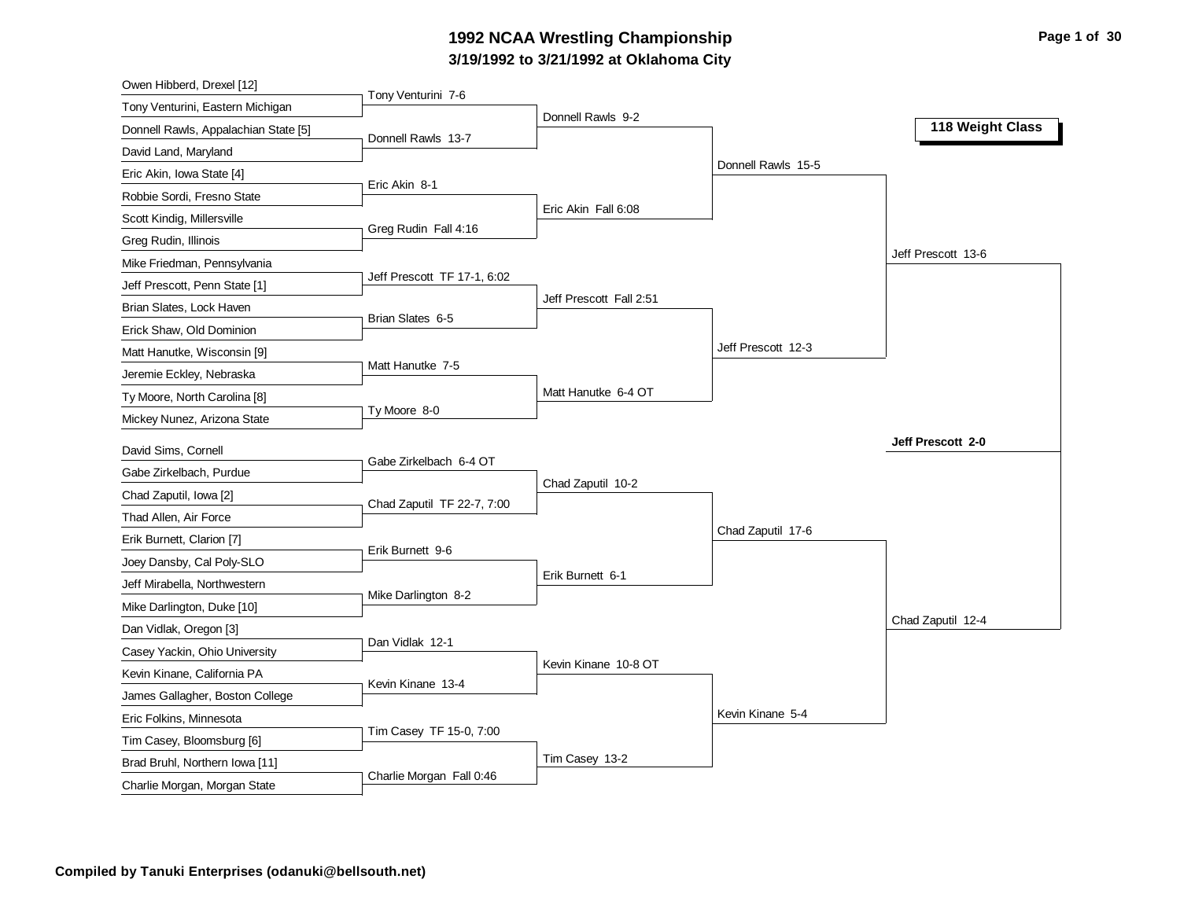# **3/19/1992 to 3/21/1992 at Oklahoma City 1992 NCAA Wrestling Championship Page 1 of 30**

| Owen Hibberd, Drexel [12]                       |                             |                         |                    |                    |
|-------------------------------------------------|-----------------------------|-------------------------|--------------------|--------------------|
| Tony Venturini, Eastern Michigan                | Tony Venturini 7-6          |                         |                    |                    |
| Donnell Rawls, Appalachian State [5]            | Donnell Rawls 13-7          | Donnell Rawls 9-2       |                    | 118 Weight Class   |
| David Land, Maryland                            |                             |                         |                    |                    |
| Eric Akin, Iowa State [4]                       |                             |                         | Donnell Rawls 15-5 |                    |
| Robbie Sordi, Fresno State                      | Eric Akin 8-1               |                         |                    |                    |
| Scott Kindig, Millersville                      |                             | Eric Akin Fall 6:08     |                    |                    |
| Greg Rudin, Illinois                            | Greg Rudin Fall 4:16        |                         |                    |                    |
| Mike Friedman, Pennsylvania                     |                             |                         |                    | Jeff Prescott 13-6 |
| Jeff Prescott, Penn State [1]                   | Jeff Prescott TF 17-1, 6:02 |                         |                    |                    |
| Brian Slates, Lock Haven                        |                             | Jeff Prescott Fall 2:51 |                    |                    |
| Erick Shaw, Old Dominion                        | Brian Slates 6-5            |                         |                    |                    |
| Matt Hanutke, Wisconsin [9]                     |                             |                         | Jeff Prescott 12-3 |                    |
| Jeremie Eckley, Nebraska                        | Matt Hanutke 7-5            |                         |                    |                    |
| Ty Moore, North Carolina [8]                    |                             | Matt Hanutke 6-4 OT     |                    |                    |
| Mickey Nunez, Arizona State                     | Ty Moore 8-0                |                         |                    |                    |
| David Sims, Cornell                             |                             |                         |                    | Jeff Prescott 2-0  |
| Gabe Zirkelbach, Purdue                         | Gabe Zirkelbach 6-4 OT      |                         |                    |                    |
|                                                 |                             | Chad Zaputil 10-2       |                    |                    |
| Chad Zaputil, Iowa [2]<br>Thad Allen, Air Force | Chad Zaputil TF 22-7, 7:00  |                         |                    |                    |
| Erik Burnett, Clarion [7]                       |                             |                         | Chad Zaputil 17-6  |                    |
|                                                 | Erik Burnett 9-6            |                         |                    |                    |
| Joey Dansby, Cal Poly-SLO                       |                             | Erik Burnett 6-1        |                    |                    |
| Jeff Mirabella, Northwestern                    | Mike Darlington 8-2         |                         |                    |                    |
| Mike Darlington, Duke [10]                      |                             |                         |                    | Chad Zaputil 12-4  |
| Dan Vidlak, Oregon [3]                          | Dan Vidlak 12-1             |                         |                    |                    |
| Casey Yackin, Ohio University                   |                             | Kevin Kinane 10-8 OT    |                    |                    |
| Kevin Kinane, California PA                     | Kevin Kinane 13-4           |                         |                    |                    |
| James Gallagher, Boston College                 |                             |                         | Kevin Kinane 5-4   |                    |
| Eric Folkins, Minnesota                         | Tim Casey TF 15-0, 7:00     |                         |                    |                    |
| Tim Casey, Bloomsburg [6]                       |                             | Tim Casey 13-2          |                    |                    |
| Brad Bruhl, Northern Iowa [11]                  | Charlie Morgan Fall 0:46    |                         |                    |                    |
| Charlie Morgan, Morgan State                    |                             |                         |                    |                    |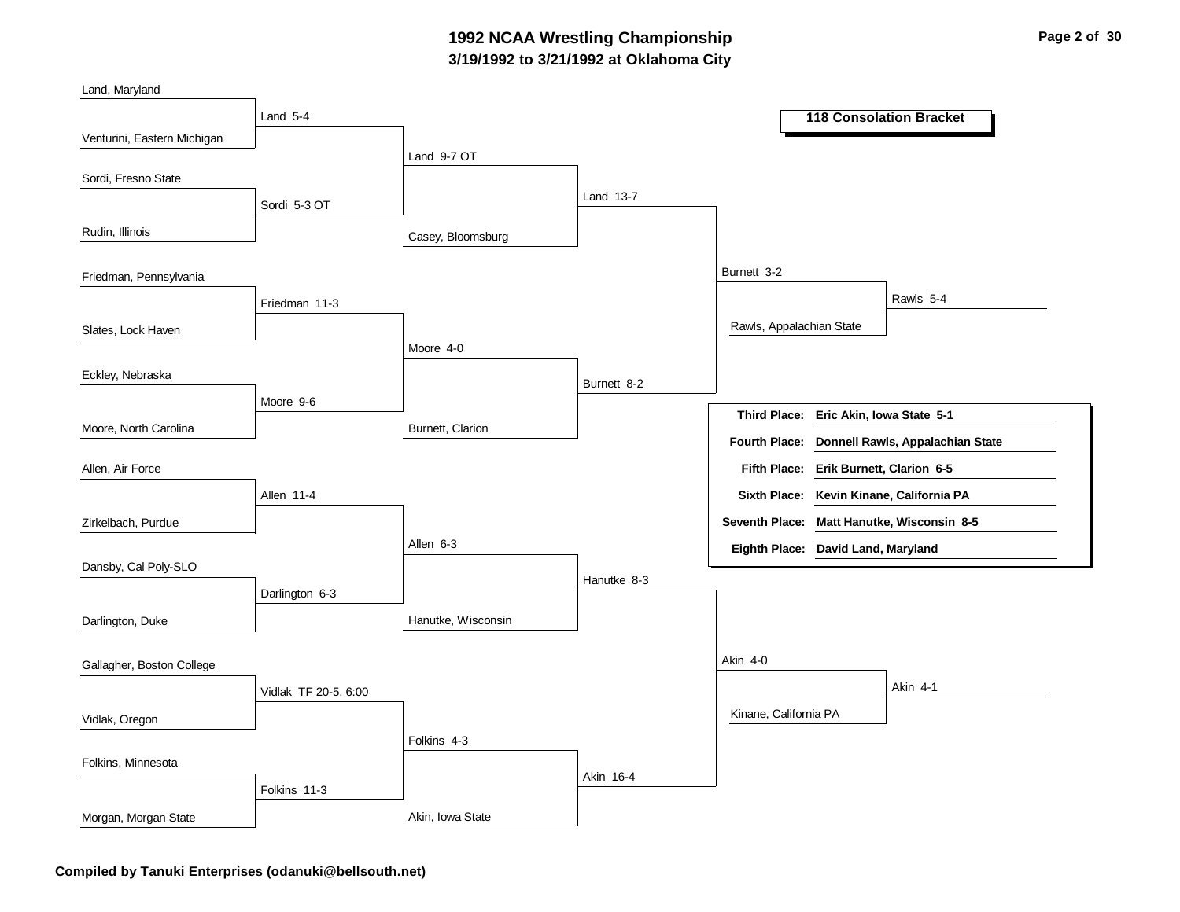### **3/19/1992 to 3/21/1992 at Oklahoma City 1992 NCAA Wrestling Championship Page 2 of 30**

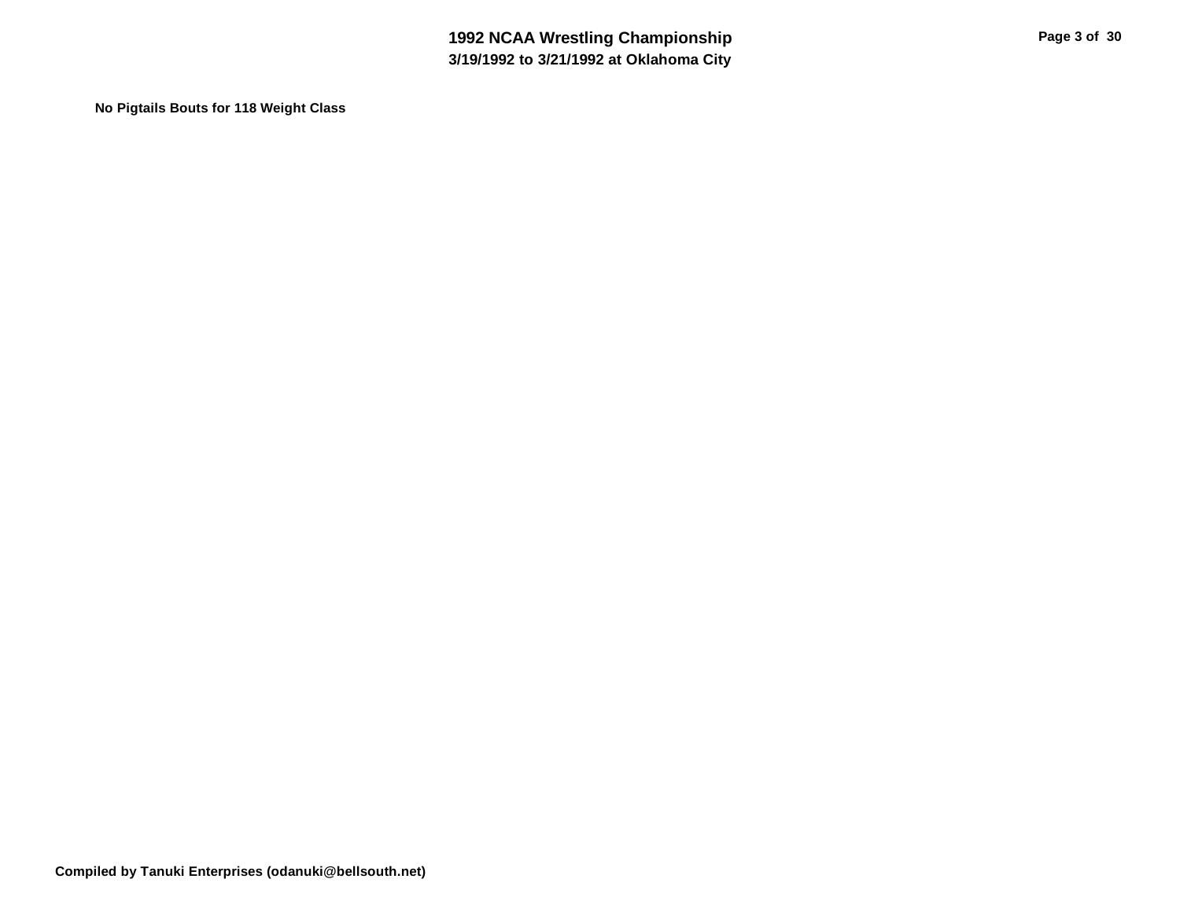**No Pigtails Bouts for 118 Weight Class**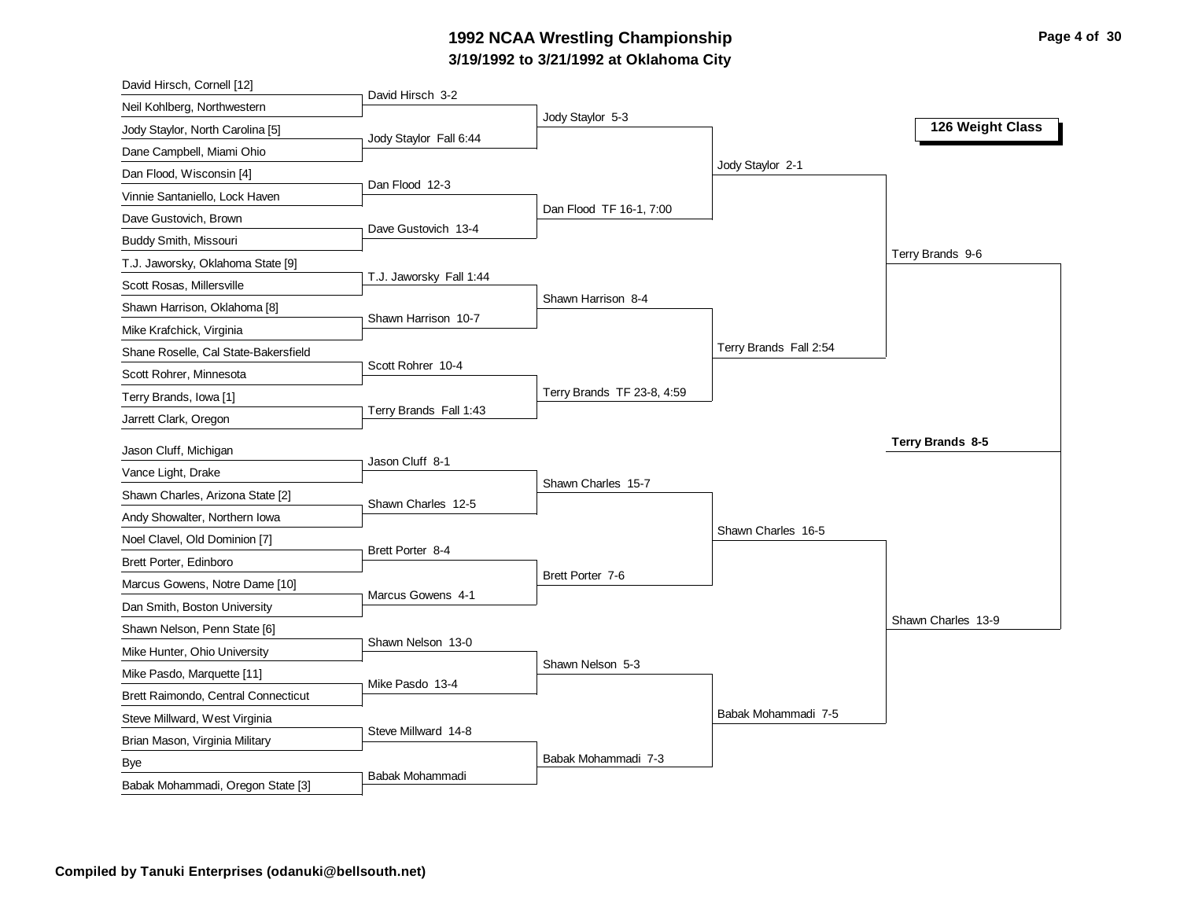# **3/19/1992 to 3/21/1992 at Oklahoma City 1992 NCAA Wrestling Championship Page 4 of 30**

| David Hirsch, Cornell [12]                      |                         |                            |                        |                    |
|-------------------------------------------------|-------------------------|----------------------------|------------------------|--------------------|
| Neil Kohlberg, Northwestern                     | David Hirsch 3-2        |                            |                        |                    |
| Jody Staylor, North Carolina [5]                |                         | Jody Staylor 5-3           |                        | 126 Weight Class   |
| Dane Campbell, Miami Ohio                       | Jody Staylor Fall 6:44  |                            |                        |                    |
| Dan Flood, Wisconsin [4]                        |                         |                            | Jody Staylor 2-1       |                    |
| Vinnie Santaniello, Lock Haven                  | Dan Flood 12-3          |                            |                        |                    |
| Dave Gustovich, Brown                           |                         | Dan Flood TF 16-1, 7:00    |                        |                    |
| Buddy Smith, Missouri                           | Dave Gustovich 13-4     |                            |                        |                    |
| T.J. Jaworsky, Oklahoma State [9]               |                         |                            |                        | Terry Brands 9-6   |
| Scott Rosas, Millersville                       | T.J. Jaworsky Fall 1:44 |                            |                        |                    |
| Shawn Harrison, Oklahoma [8]                    |                         | Shawn Harrison 8-4         |                        |                    |
| Mike Krafchick, Virginia                        | Shawn Harrison 10-7     |                            |                        |                    |
| Shane Roselle, Cal State-Bakersfield            |                         |                            | Terry Brands Fall 2:54 |                    |
| Scott Rohrer, Minnesota                         | Scott Rohrer 10-4       |                            |                        |                    |
| Terry Brands, Iowa [1]                          |                         | Terry Brands TF 23-8, 4:59 |                        |                    |
| Jarrett Clark, Oregon                           | Terry Brands Fall 1:43  |                            |                        |                    |
| Jason Cluff, Michigan                           |                         |                            |                        | Terry Brands 8-5   |
|                                                 |                         |                            |                        |                    |
|                                                 | Jason Cluff 8-1         |                            |                        |                    |
| Vance Light, Drake                              |                         | Shawn Charles 15-7         |                        |                    |
| Shawn Charles, Arizona State [2]                | Shawn Charles 12-5      |                            |                        |                    |
| Andy Showalter, Northern Iowa                   |                         |                            | Shawn Charles 16-5     |                    |
| Noel Clavel, Old Dominion [7]                   | Brett Porter 8-4        |                            |                        |                    |
| Brett Porter, Edinboro                          |                         | Brett Porter 7-6           |                        |                    |
| Marcus Gowens, Notre Dame [10]                  | Marcus Gowens 4-1       |                            |                        |                    |
| Dan Smith, Boston University                    |                         |                            |                        | Shawn Charles 13-9 |
| Shawn Nelson, Penn State [6]                    | Shawn Nelson 13-0       |                            |                        |                    |
| Mike Hunter, Ohio University                    |                         | Shawn Nelson 5-3           |                        |                    |
| Mike Pasdo, Marquette [11]                      | Mike Pasdo 13-4         |                            |                        |                    |
| Brett Raimondo, Central Connecticut             |                         |                            |                        |                    |
| Steve Millward, West Virginia                   | Steve Millward 14-8     |                            | Babak Mohammadi 7-5    |                    |
| Brian Mason, Virginia Military                  |                         |                            |                        |                    |
| <b>Bye</b><br>Babak Mohammadi, Oregon State [3] | Babak Mohammadi         | Babak Mohammadi 7-3        |                        |                    |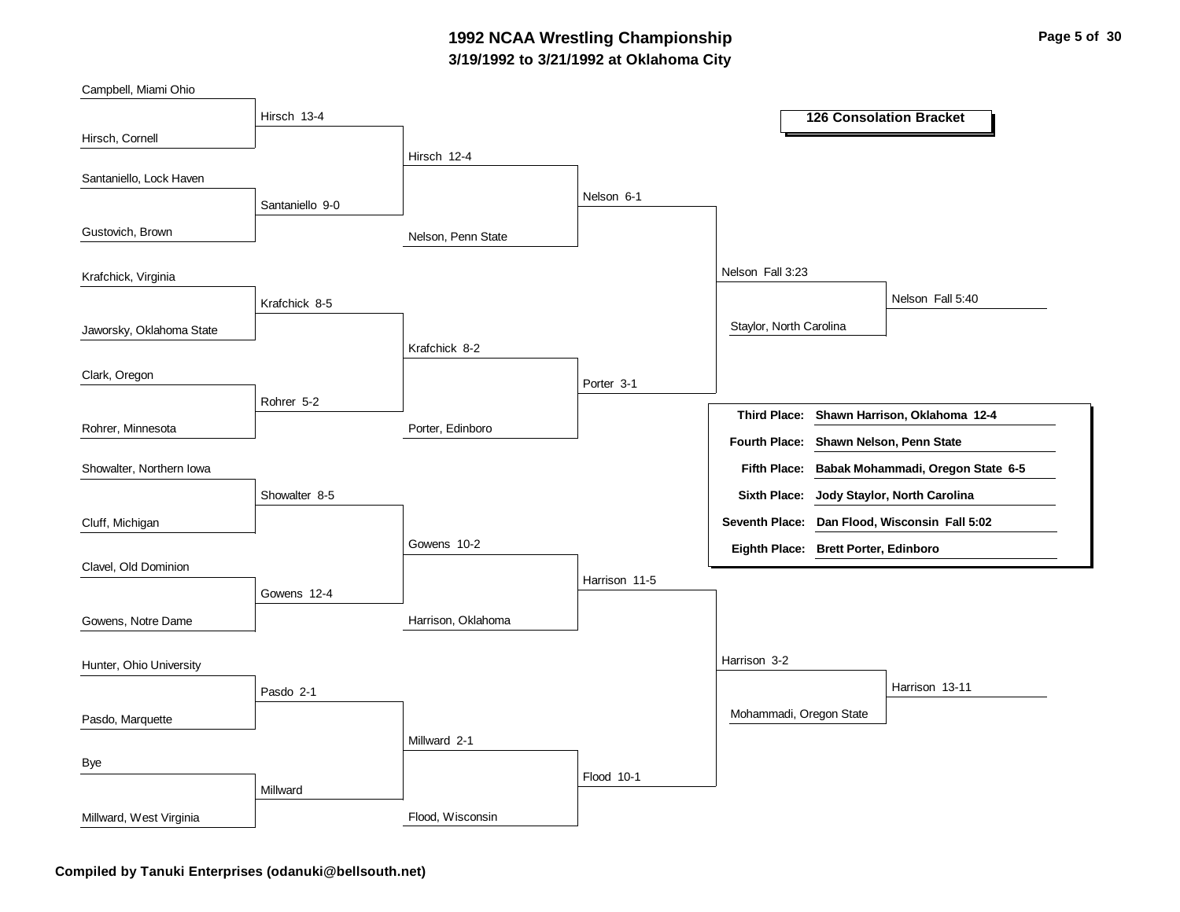### **3/19/1992 to 3/21/1992 at Oklahoma City 1992 NCAA Wrestling Championship Page 5 of 30**

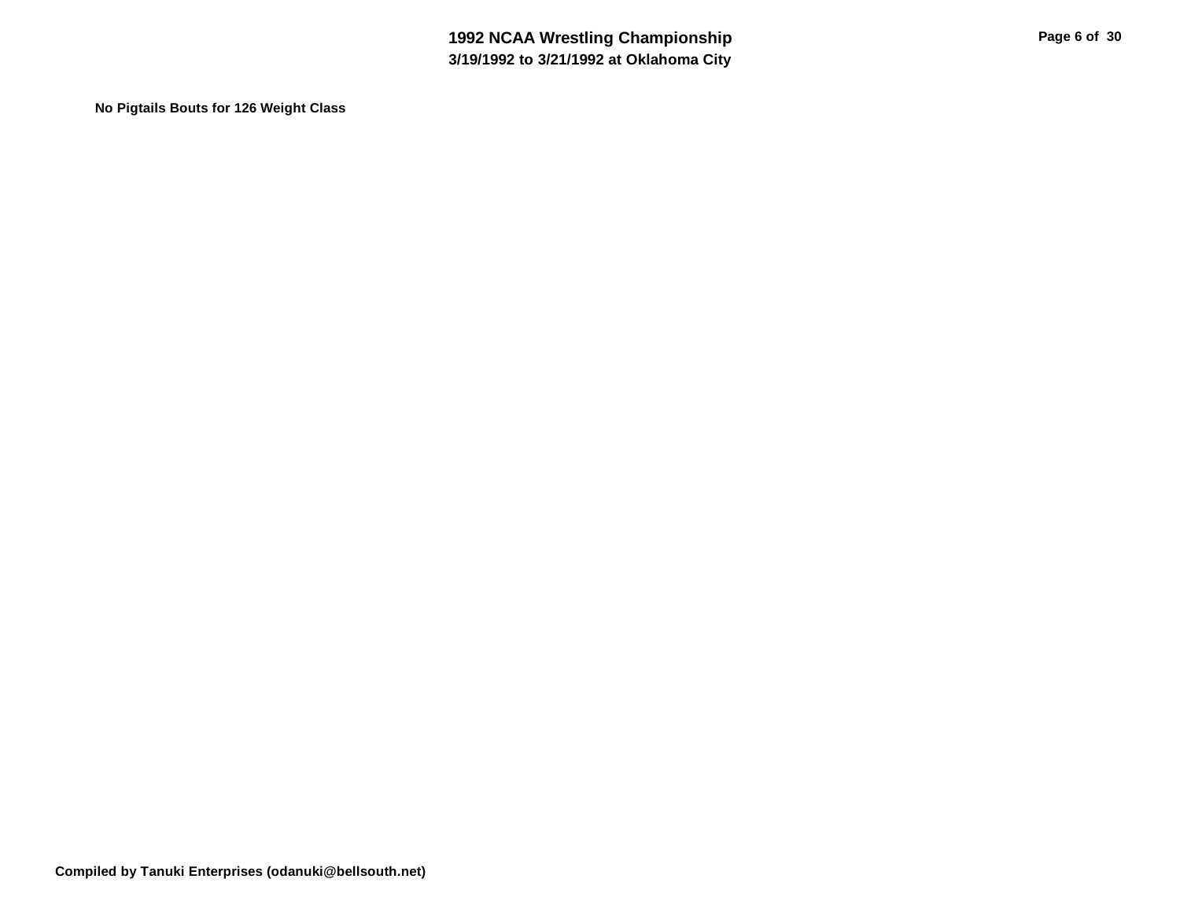**No Pigtails Bouts for 126 Weight Class**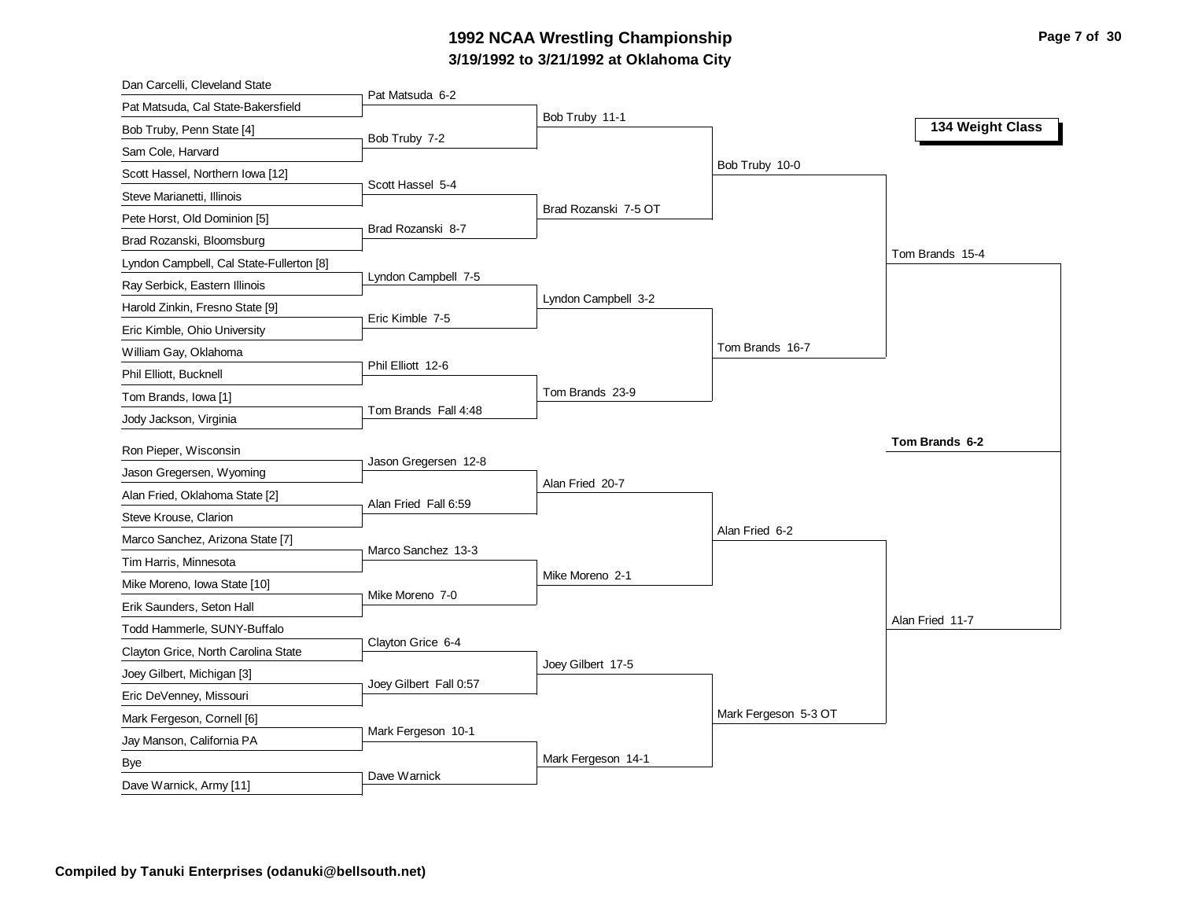# **3/19/1992 to 3/21/1992 at Oklahoma City 1992 NCAA Wrestling Championship Page 7 of 30**

| Dan Carcelli, Cleveland State            |                        |                      |                      |                  |
|------------------------------------------|------------------------|----------------------|----------------------|------------------|
| Pat Matsuda, Cal State-Bakersfield       | Pat Matsuda 6-2        |                      |                      |                  |
| Bob Truby, Penn State [4]                |                        | Bob Truby 11-1       |                      | 134 Weight Class |
| Sam Cole, Harvard                        | Bob Truby 7-2          |                      |                      |                  |
| Scott Hassel, Northern Iowa [12]         |                        |                      | Bob Truby 10-0       |                  |
| Steve Marianetti, Illinois               | Scott Hassel 5-4       |                      |                      |                  |
| Pete Horst, Old Dominion [5]             |                        | Brad Rozanski 7-5 OT |                      |                  |
| Brad Rozanski, Bloomsburg                | Brad Rozanski 8-7      |                      |                      |                  |
| Lyndon Campbell, Cal State-Fullerton [8] |                        |                      |                      | Tom Brands 15-4  |
| Ray Serbick, Eastern Illinois            | Lyndon Campbell 7-5    |                      |                      |                  |
| Harold Zinkin, Fresno State [9]          |                        | Lyndon Campbell 3-2  |                      |                  |
| Eric Kimble, Ohio University             | Eric Kimble 7-5        |                      |                      |                  |
| William Gay, Oklahoma                    |                        |                      | Tom Brands 16-7      |                  |
| Phil Elliott, Bucknell                   | Phil Elliott 12-6      |                      |                      |                  |
| Tom Brands, Iowa [1]                     |                        | Tom Brands 23-9      |                      |                  |
| Jody Jackson, Virginia                   | Tom Brands Fall 4:48   |                      |                      |                  |
|                                          |                        |                      |                      |                  |
|                                          |                        |                      |                      | Tom Brands 6-2   |
| Ron Pieper, Wisconsin                    | Jason Gregersen 12-8   |                      |                      |                  |
| Jason Gregersen, Wyoming                 |                        | Alan Fried 20-7      |                      |                  |
| Alan Fried, Oklahoma State [2]           | Alan Fried Fall 6:59   |                      |                      |                  |
| Steve Krouse, Clarion                    |                        |                      | Alan Fried 6-2       |                  |
| Marco Sanchez, Arizona State [7]         | Marco Sanchez 13-3     |                      |                      |                  |
| Tim Harris, Minnesota                    |                        | Mike Moreno 2-1      |                      |                  |
| Mike Moreno, Iowa State [10]             | Mike Moreno 7-0        |                      |                      |                  |
| Erik Saunders, Seton Hall                |                        |                      |                      | Alan Fried 11-7  |
| Todd Hammerle, SUNY-Buffalo              | Clayton Grice 6-4      |                      |                      |                  |
| Clayton Grice, North Carolina State      |                        | Joey Gilbert 17-5    |                      |                  |
| Joey Gilbert, Michigan [3]               | Joey Gilbert Fall 0:57 |                      |                      |                  |
| Eric DeVenney, Missouri                  |                        |                      |                      |                  |
| Mark Fergeson, Cornell [6]               | Mark Fergeson 10-1     |                      | Mark Fergeson 5-3 OT |                  |
| Jay Manson, California PA                |                        |                      |                      |                  |
| Bye<br>Dave Warnick, Army [11]           | Dave Warnick           | Mark Fergeson 14-1   |                      |                  |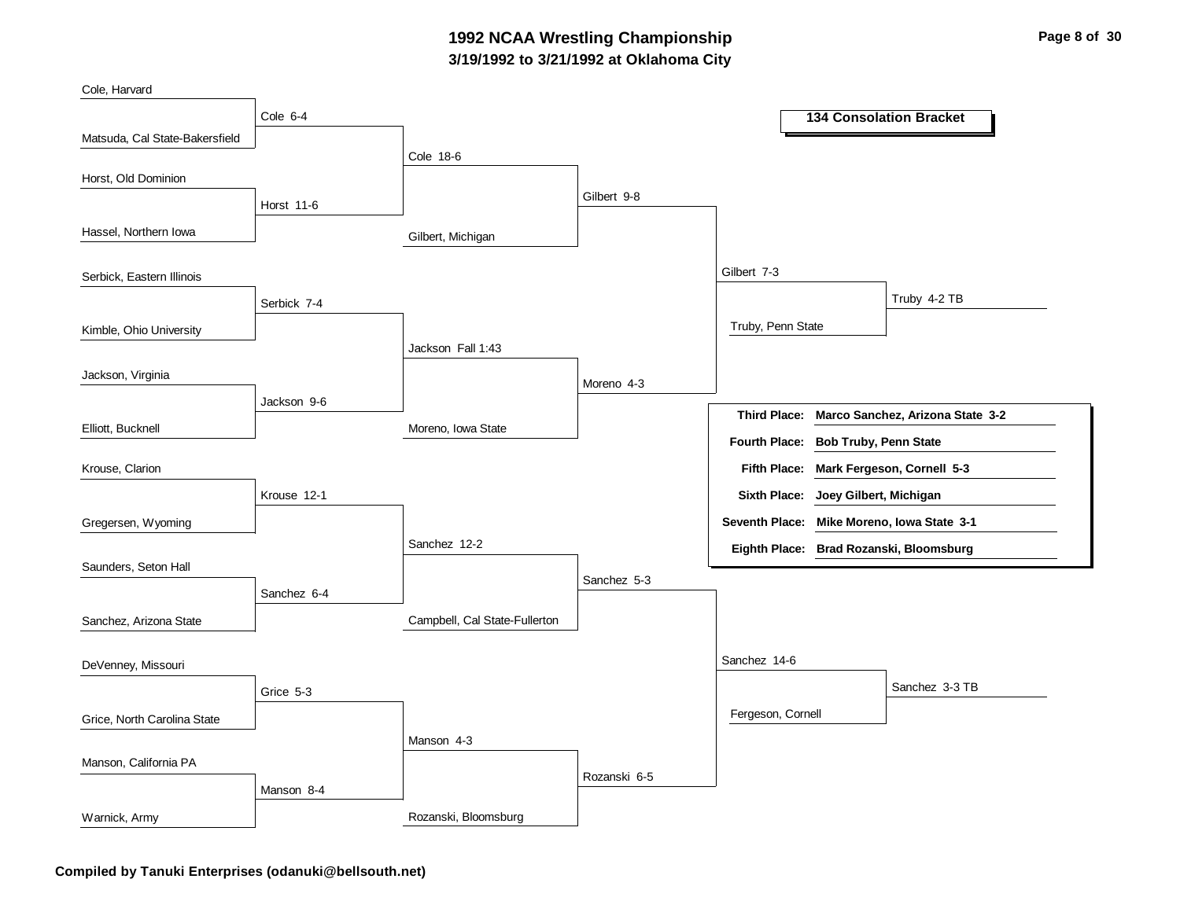### **3/19/1992 to 3/21/1992 at Oklahoma City 1992 NCAA Wrestling Championship Page 8 of 30**

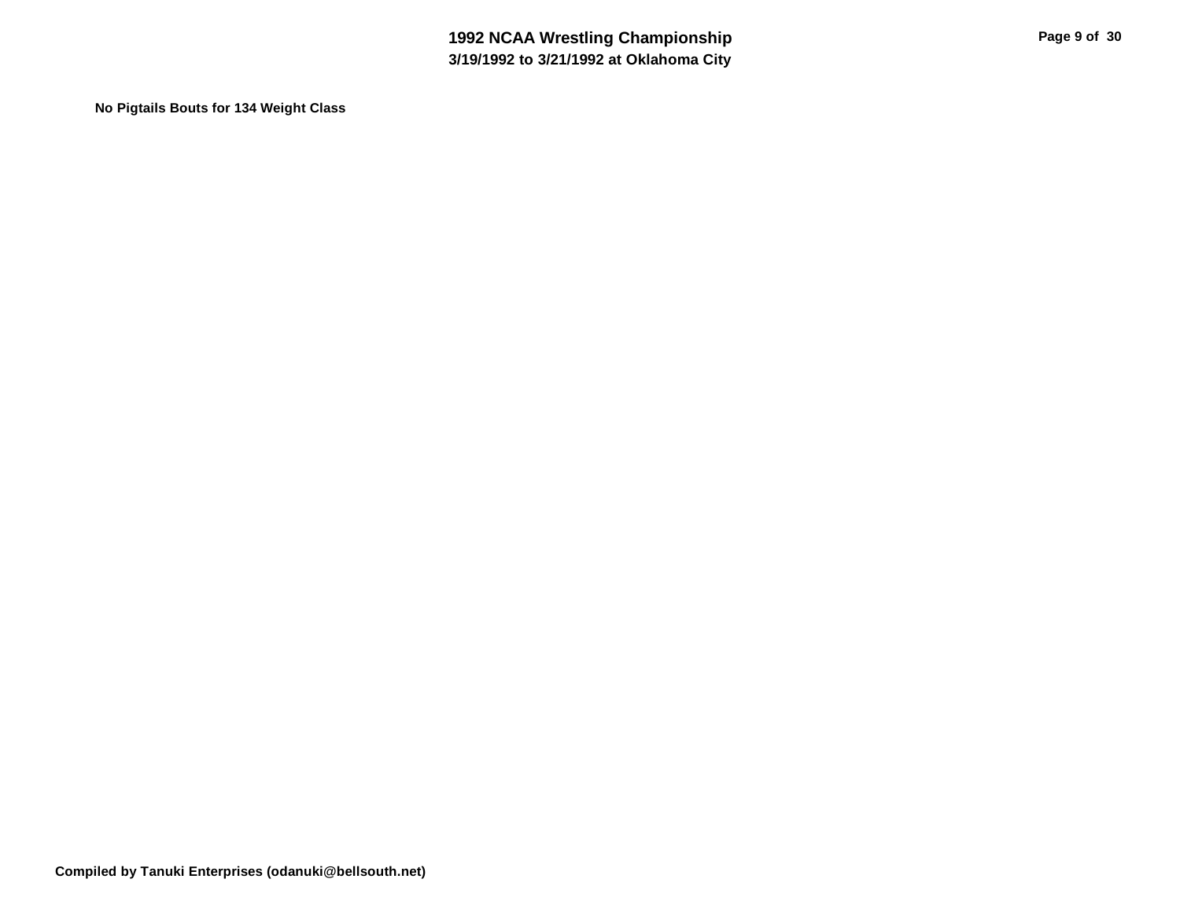**No Pigtails Bouts for 134 Weight Class**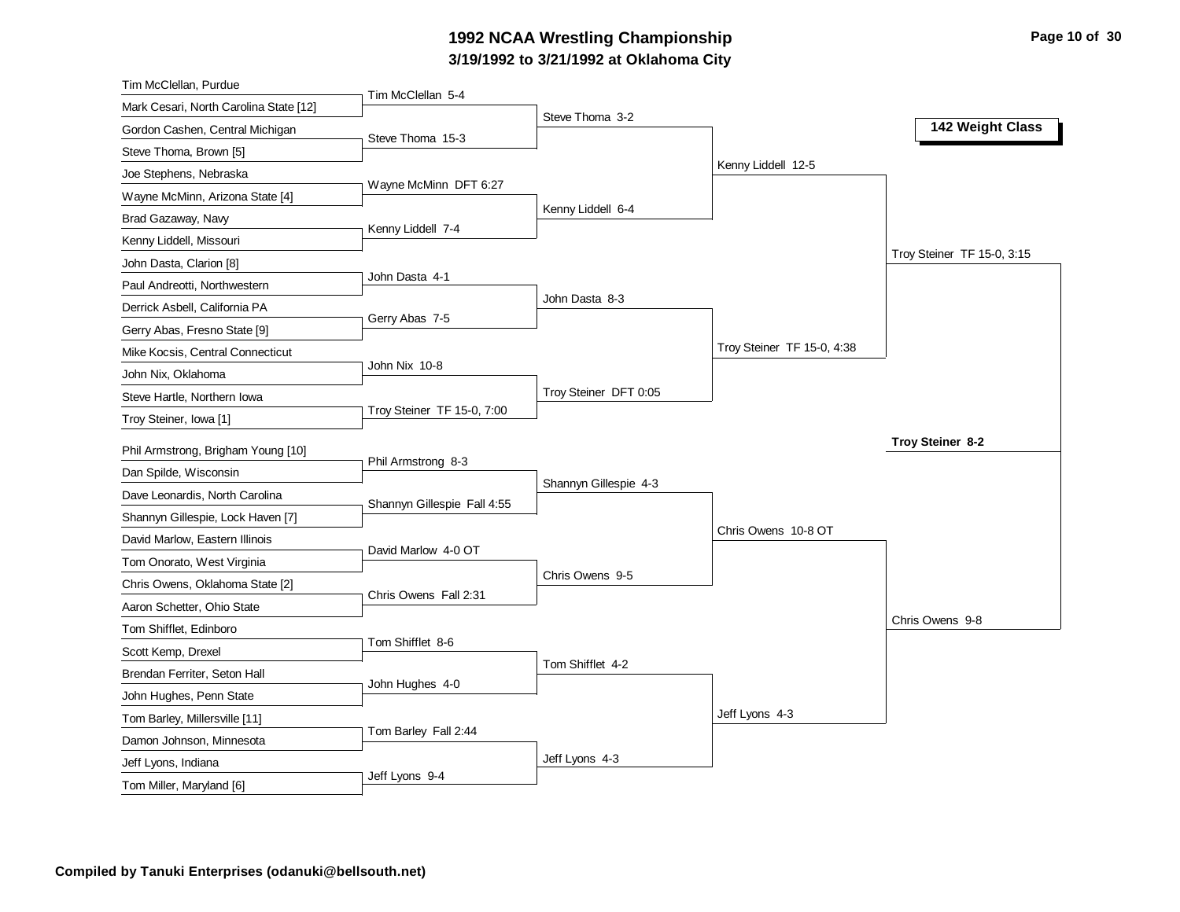# **3/19/1992 to 3/21/1992 at Oklahoma City** 1992 NCAA Wrestling Championship **Page 10 of 30** Page 10 of 30

| Tim McClellan, Purdue                           |                             |                       |                            |                            |
|-------------------------------------------------|-----------------------------|-----------------------|----------------------------|----------------------------|
| Mark Cesari, North Carolina State [12]          | Tim McClellan 5-4           |                       |                            |                            |
| Gordon Cashen, Central Michigan                 | Steve Thoma 15-3            | Steve Thoma 3-2       |                            | 142 Weight Class           |
| Steve Thoma, Brown [5]                          |                             |                       |                            |                            |
| Joe Stephens, Nebraska                          |                             |                       | Kenny Liddell 12-5         |                            |
| Wayne McMinn, Arizona State [4]                 | Wayne McMinn DFT 6:27       |                       |                            |                            |
| Brad Gazaway, Navy                              |                             | Kenny Liddell 6-4     |                            |                            |
| Kenny Liddell, Missouri                         | Kenny Liddell 7-4           |                       |                            |                            |
| John Dasta, Clarion [8]                         |                             |                       |                            | Troy Steiner TF 15-0, 3:15 |
| Paul Andreotti, Northwestern                    | John Dasta 4-1              |                       |                            |                            |
| Derrick Asbell, California PA                   |                             | John Dasta 8-3        |                            |                            |
| Gerry Abas, Fresno State [9]                    | Gerry Abas 7-5              |                       |                            |                            |
| Mike Kocsis, Central Connecticut                |                             |                       | Troy Steiner TF 15-0, 4:38 |                            |
| John Nix, Oklahoma                              | John Nix 10-8               |                       |                            |                            |
| Steve Hartle, Northern Iowa                     |                             | Troy Steiner DFT 0:05 |                            |                            |
| Troy Steiner, Iowa [1]                          | Troy Steiner TF 15-0, 7:00  |                       |                            |                            |
| Phil Armstrong, Brigham Young [10]              |                             |                       |                            | Troy Steiner 8-2           |
| Dan Spilde, Wisconsin                           | Phil Armstrong 8-3          |                       |                            |                            |
| Dave Leonardis, North Carolina                  |                             | Shannyn Gillespie 4-3 |                            |                            |
| Shannyn Gillespie, Lock Haven [7]               | Shannyn Gillespie Fall 4:55 |                       |                            |                            |
| David Marlow, Eastern Illinois                  |                             |                       | Chris Owens 10-8 OT        |                            |
| Tom Onorato, West Virginia                      | David Marlow 4-0 OT         |                       |                            |                            |
| Chris Owens, Oklahoma State [2]                 |                             | Chris Owens 9-5       |                            |                            |
| Aaron Schetter, Ohio State                      | Chris Owens Fall 2:31       |                       |                            |                            |
| Tom Shifflet, Edinboro                          |                             |                       |                            | Chris Owens 9-8            |
| Scott Kemp, Drexel                              | Tom Shifflet 8-6            |                       |                            |                            |
| Brendan Ferriter, Seton Hall                    |                             | Tom Shifflet 4-2      |                            |                            |
| John Hughes, Penn State                         | John Hughes 4-0             |                       |                            |                            |
| Tom Barley, Millersville [11]                   |                             |                       | Jeff Lyons 4-3             |                            |
|                                                 |                             |                       |                            |                            |
|                                                 | Tom Barley Fall 2:44        |                       |                            |                            |
| Damon Johnson, Minnesota<br>Jeff Lyons, Indiana |                             | Jeff Lyons 4-3        |                            |                            |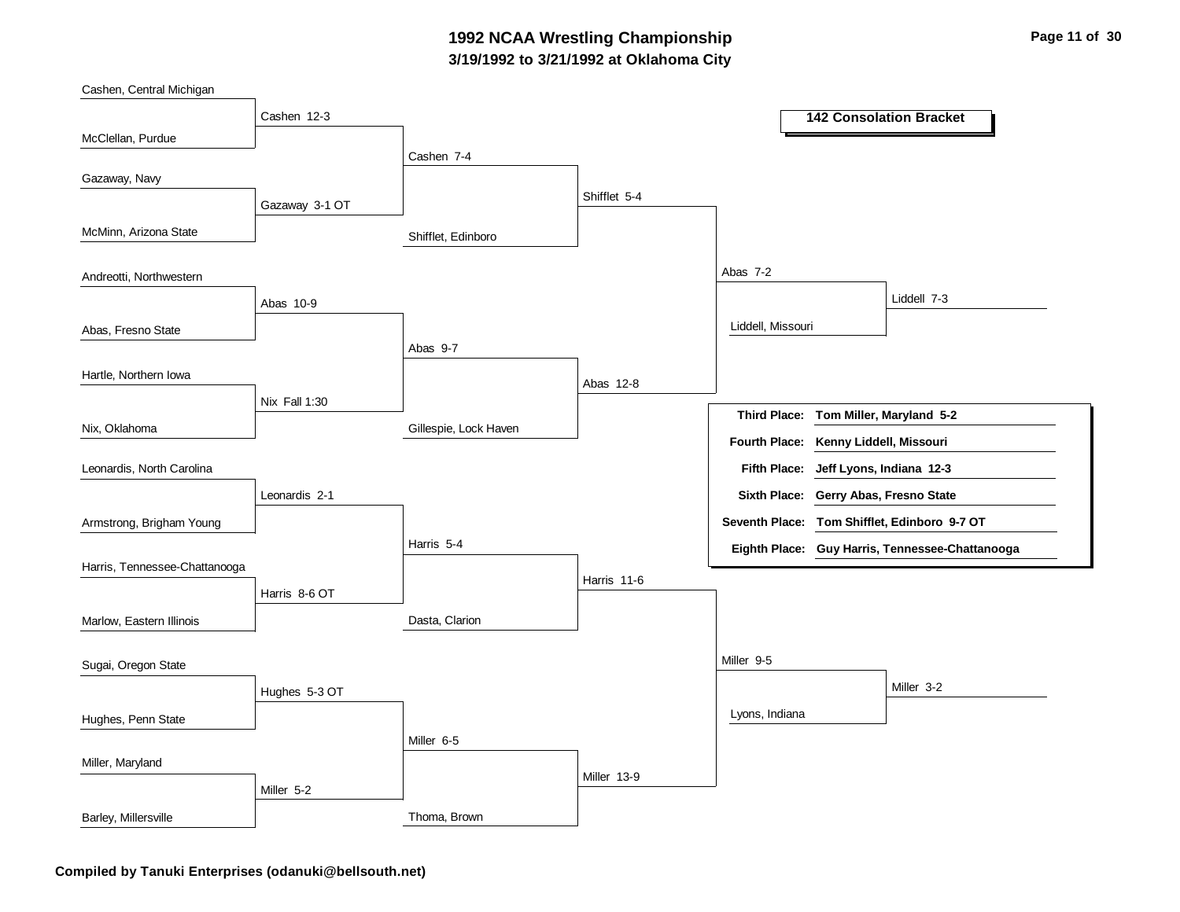#### **3/19/1992 to 3/21/1992 at Oklahoma City 1992 NCAA Wrestling Championship Page 11 of 30**

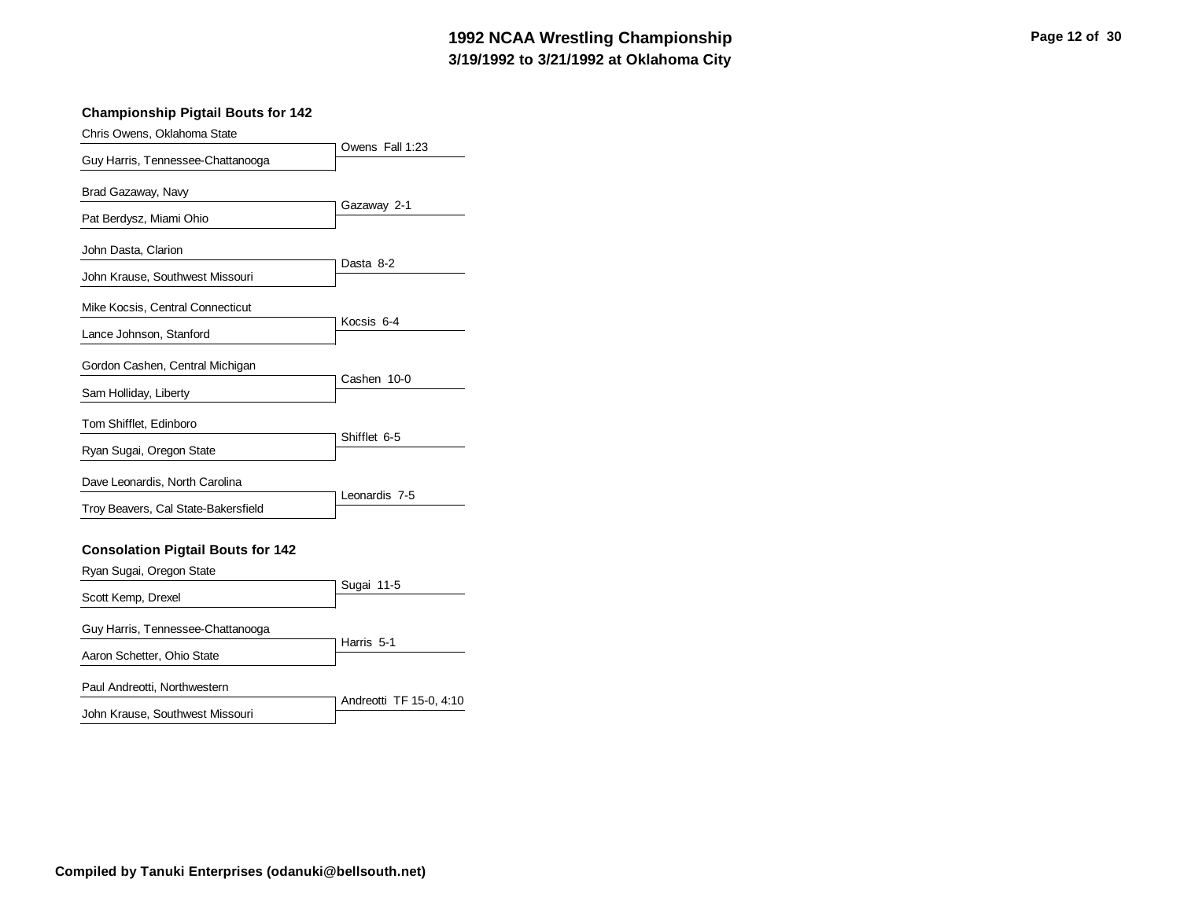# **3/19/1992 to 3/21/1992 at Oklahoma City 1992 NCAA Wrestling Championship Page 12 of 30**

#### **Championship Pigtail Bouts for 142**

| Chris Owens, Oklahoma State              |                 |
|------------------------------------------|-----------------|
| Guy Harris, Tennessee-Chattanooga        | Owens Fall 1:23 |
| Brad Gazaway, Navy                       |                 |
|                                          | Gazaway 2-1     |
| Pat Berdysz, Miami Ohio                  |                 |
| John Dasta, Clarion                      |                 |
| John Krause, Southwest Missouri          | Dasta 8-2       |
| Mike Kocsis, Central Connecticut         |                 |
| Lance Johnson, Stanford                  | Kocsis 6-4      |
| Gordon Cashen, Central Michigan          |                 |
| Sam Holliday, Liberty                    | Cashen 10-0     |
| Tom Shifflet, Edinboro                   |                 |
| Ryan Sugai, Oregon State                 | Shifflet 6-5    |
| Dave Leonardis, North Carolina           |                 |
| Troy Beavers, Cal State-Bakersfield      | Leonardis 7-5   |
|                                          |                 |
| <b>Consolation Pigtail Bouts for 142</b> |                 |
| Ryan Sugai, Oregon State                 |                 |
| Scott Kemp, Drexel                       | Sugai 11-5      |
| Guy Harris, Tennessee-Chattanooga        |                 |
|                                          | Harris 5-1      |
| Aaron Schetter, Ohio State               |                 |
| Paul Andreotti, Northwestern             |                 |

|                                 | Andreotti TF 15-0, 4:10 |
|---------------------------------|-------------------------|
| John Krause, Southwest Missouri |                         |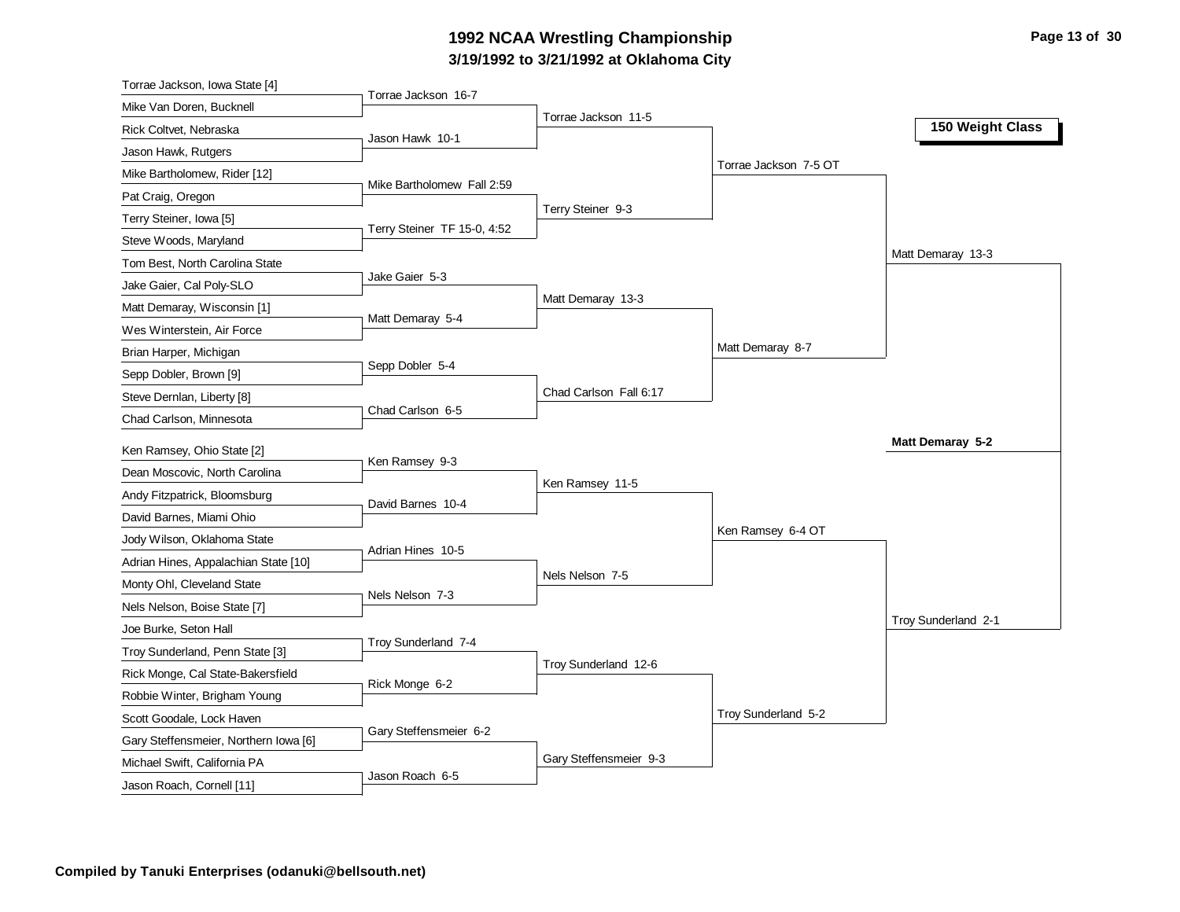# **3/19/1992 to 3/21/1992 at Oklahoma City 1992 NCAA Wrestling Championship Page 13 of 30**

| Torrae Jackson, Iowa State [4]                              |                             |                        |                       |                     |
|-------------------------------------------------------------|-----------------------------|------------------------|-----------------------|---------------------|
| Mike Van Doren, Bucknell                                    | Torrae Jackson 16-7         |                        |                       |                     |
| Rick Coltvet, Nebraska                                      |                             | Torrae Jackson 11-5    |                       | 150 Weight Class    |
| Jason Hawk, Rutgers                                         | Jason Hawk 10-1             |                        |                       |                     |
| Mike Bartholomew, Rider [12]                                |                             |                        | Torrae Jackson 7-5 OT |                     |
| Pat Craig, Oregon                                           | Mike Bartholomew Fall 2:59  |                        |                       |                     |
| Terry Steiner, Iowa [5]                                     |                             | Terry Steiner 9-3      |                       |                     |
| Steve Woods, Maryland                                       | Terry Steiner TF 15-0, 4:52 |                        |                       |                     |
| Tom Best, North Carolina State                              |                             |                        |                       | Matt Demaray 13-3   |
| Jake Gaier, Cal Poly-SLO                                    | Jake Gaier 5-3              |                        |                       |                     |
| Matt Demaray, Wisconsin [1]                                 |                             | Matt Demaray 13-3      |                       |                     |
| Wes Winterstein, Air Force                                  | Matt Demaray 5-4            |                        |                       |                     |
| Brian Harper, Michigan                                      |                             |                        | Matt Demaray 8-7      |                     |
| Sepp Dobler, Brown [9]                                      | Sepp Dobler 5-4             |                        |                       |                     |
| Steve Dernlan, Liberty [8]                                  |                             | Chad Carlson Fall 6:17 |                       |                     |
| Chad Carlson, Minnesota                                     | Chad Carlson 6-5            |                        |                       |                     |
|                                                             |                             |                        |                       | Matt Demaray 5-2    |
| Ken Ramsey, Ohio State [2]<br>Dean Moscovic, North Carolina | Ken Ramsey 9-3              |                        |                       |                     |
|                                                             |                             | Ken Ramsey 11-5        |                       |                     |
| Andy Fitzpatrick, Bloomsburg                                | David Barnes 10-4           |                        |                       |                     |
| David Barnes, Miami Ohio                                    |                             |                        | Ken Ramsey 6-4 OT     |                     |
| Jody Wilson, Oklahoma State                                 | Adrian Hines 10-5           |                        |                       |                     |
| Adrian Hines, Appalachian State [10]                        |                             | Nels Nelson 7-5        |                       |                     |
| Monty Ohl, Cleveland State                                  | Nels Nelson 7-3             |                        |                       |                     |
| Nels Nelson, Boise State [7]                                |                             |                        |                       | Troy Sunderland 2-1 |
| Joe Burke, Seton Hall                                       | Troy Sunderland 7-4         |                        |                       |                     |
| Troy Sunderland, Penn State [3]                             |                             | Troy Sunderland 12-6   |                       |                     |
| Rick Monge, Cal State-Bakersfield                           | Rick Monge 6-2              |                        |                       |                     |
| Robbie Winter, Brigham Young                                |                             |                        | Troy Sunderland 5-2   |                     |
| Scott Goodale, Lock Haven                                   | Gary Steffensmeier 6-2      |                        |                       |                     |
| Gary Steffensmeier, Northern Iowa [6]                       |                             | Gary Steffensmeier 9-3 |                       |                     |
| Michael Swift, California PA                                | Jason Roach 6-5             |                        |                       |                     |
| Jason Roach, Cornell [11]                                   |                             |                        |                       |                     |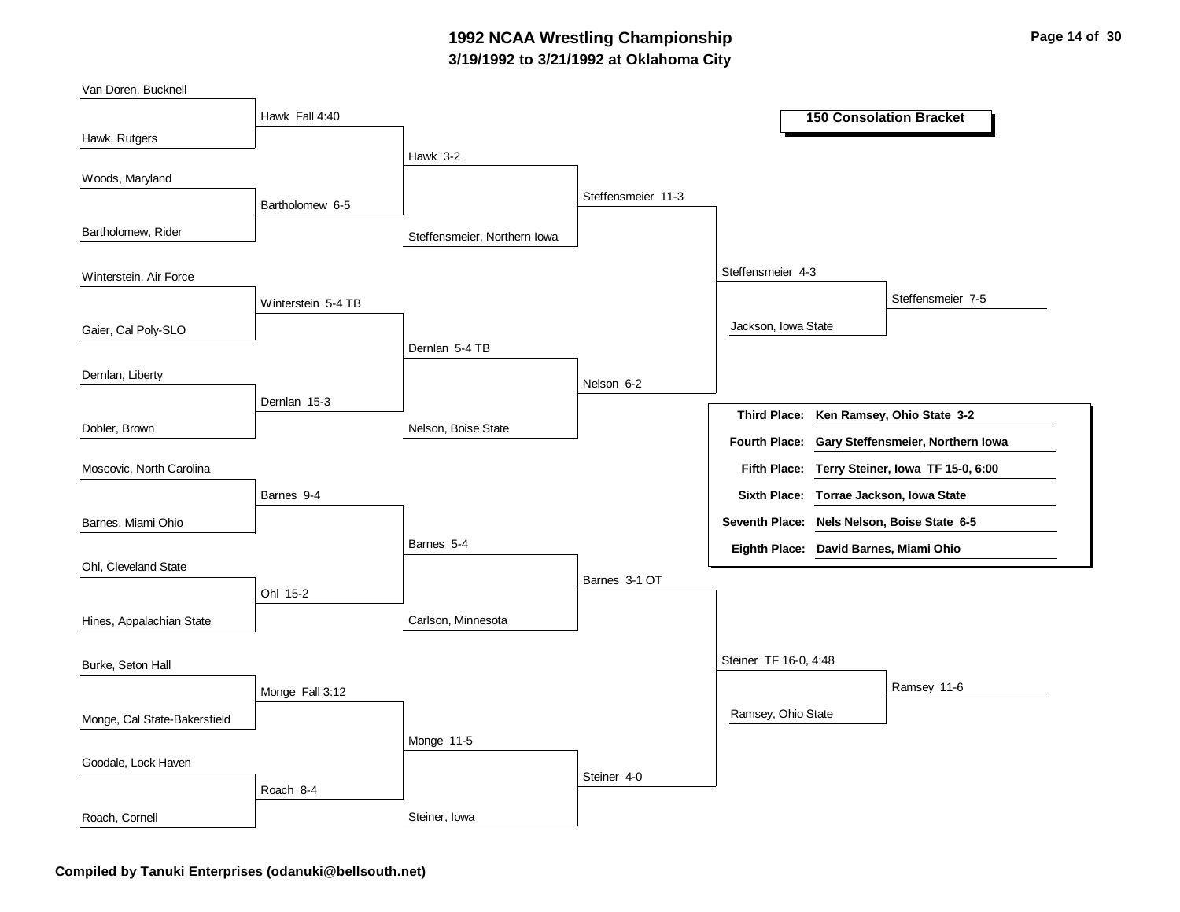### **3/19/1992 to 3/21/1992 at Oklahoma City 1992 NCAA Wrestling Championship Page 14 of 30**



**Compiled by Tanuki Enterprises (odanuki@bellsouth.net)**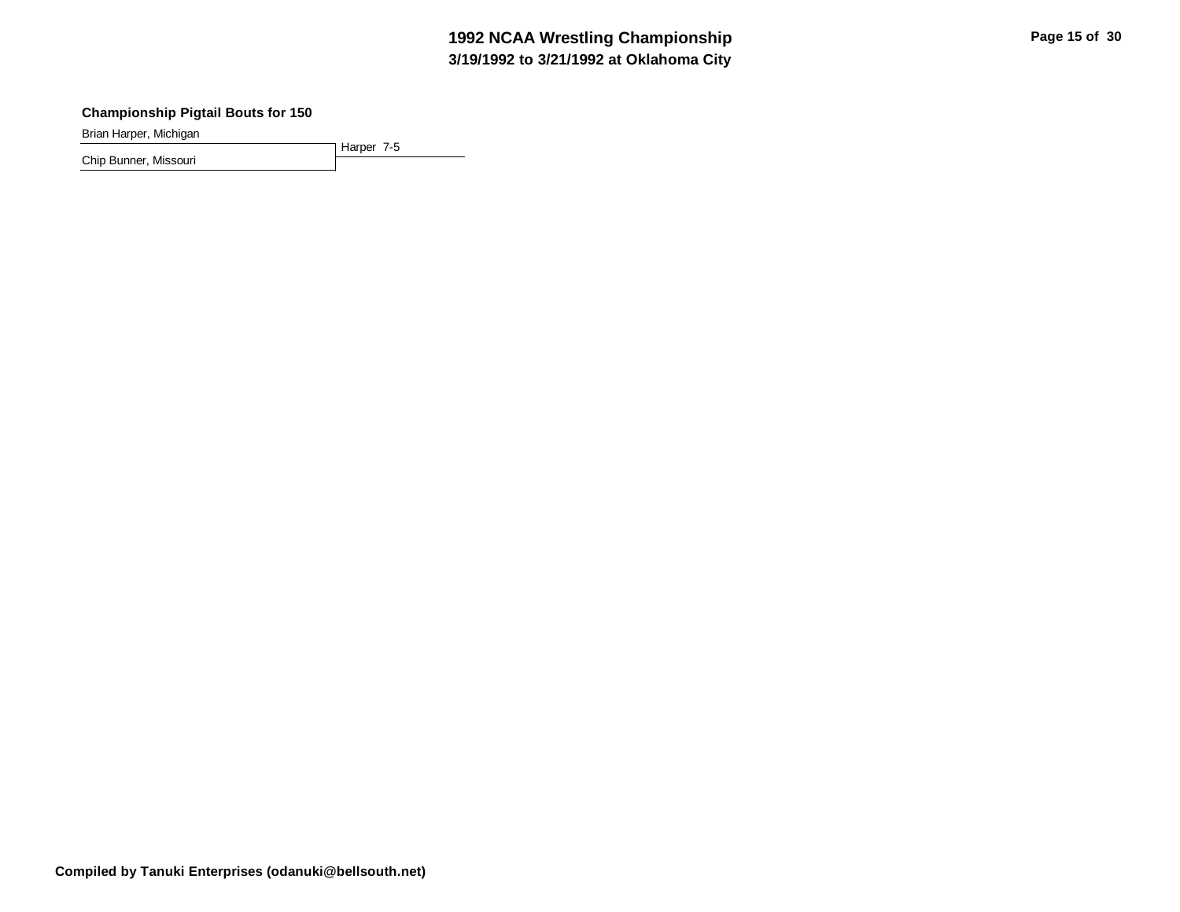# **3/19/1992 to 3/21/1992 at Oklahoma City 1992 NCAA Wrestling Championship Page 15 of 30 Page 15 of 30**

#### **Championship Pigtail Bouts for 150**

Brian Harper, Michigan

Harper 7-5 Chip Bunner, Missouri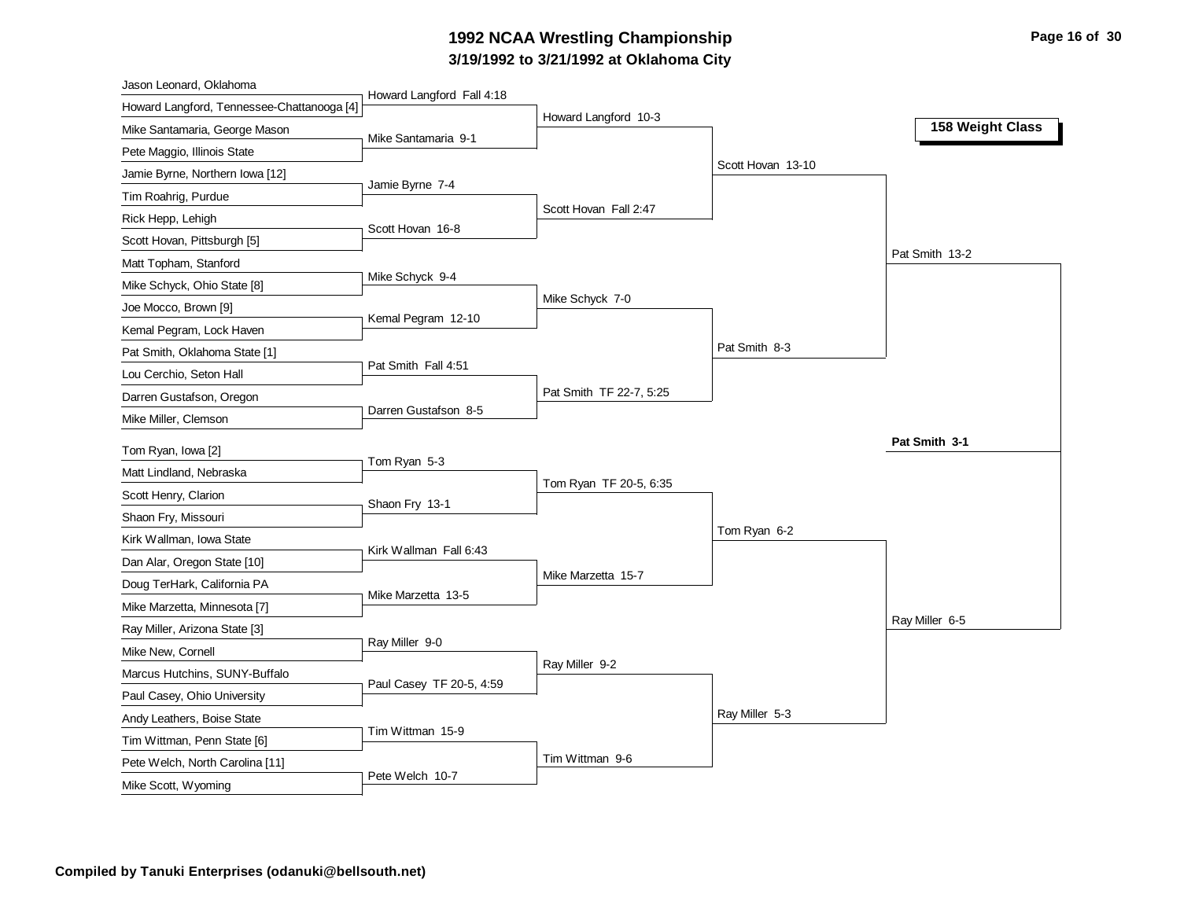# **3/19/1992 to 3/21/1992 at Oklahoma City 1992 NCAA Wrestling Championship Page 16 of 30**

| Jason Leonard, Oklahoma                                        |                           |                         |                   |                  |
|----------------------------------------------------------------|---------------------------|-------------------------|-------------------|------------------|
| Howard Langford, Tennessee-Chattanooga [4]                     | Howard Langford Fall 4:18 | Howard Langford 10-3    |                   |                  |
| Mike Santamaria, George Mason                                  | Mike Santamaria 9-1       |                         |                   | 158 Weight Class |
| Pete Maggio, Illinois State                                    |                           |                         |                   |                  |
| Jamie Byrne, Northern Iowa [12]                                |                           |                         | Scott Hovan 13-10 |                  |
| Tim Roahrig, Purdue                                            | Jamie Byrne 7-4           |                         |                   |                  |
| Rick Hepp, Lehigh                                              |                           | Scott Hovan Fall 2:47   |                   |                  |
| Scott Hovan, Pittsburgh [5]                                    | Scott Hovan 16-8          |                         |                   |                  |
| Matt Topham, Stanford                                          |                           |                         |                   | Pat Smith 13-2   |
| Mike Schyck, Ohio State [8]                                    | Mike Schyck 9-4           |                         |                   |                  |
| Joe Mocco, Brown [9]                                           |                           | Mike Schyck 7-0         |                   |                  |
| Kemal Pegram, Lock Haven                                       | Kemal Pegram 12-10        |                         |                   |                  |
| Pat Smith, Oklahoma State [1]                                  |                           |                         | Pat Smith 8-3     |                  |
| Lou Cerchio, Seton Hall                                        | Pat Smith Fall 4:51       |                         |                   |                  |
| Darren Gustafson, Oregon                                       |                           | Pat Smith TF 22-7, 5:25 |                   |                  |
| Mike Miller, Clemson                                           | Darren Gustafson 8-5      |                         |                   |                  |
| Tom Ryan, Iowa [2]                                             |                           |                         |                   | Pat Smith 3-1    |
| Matt Lindland, Nebraska                                        | Tom Ryan 5-3              |                         |                   |                  |
|                                                                |                           |                         |                   |                  |
|                                                                |                           | Tom Ryan TF 20-5, 6:35  |                   |                  |
| Scott Henry, Clarion                                           | Shaon Fry 13-1            |                         |                   |                  |
| Shaon Fry, Missouri                                            |                           |                         | Tom Ryan 6-2      |                  |
| Kirk Wallman, Iowa State                                       | Kirk Wallman Fall 6:43    |                         |                   |                  |
| Dan Alar, Oregon State [10]                                    |                           | Mike Marzetta 15-7      |                   |                  |
| Doug TerHark, California PA                                    | Mike Marzetta 13-5        |                         |                   |                  |
| Mike Marzetta, Minnesota [7]                                   |                           |                         |                   | Ray Miller 6-5   |
| Ray Miller, Arizona State [3]                                  | Ray Miller 9-0            |                         |                   |                  |
| Mike New, Cornell                                              |                           | Ray Miller 9-2          |                   |                  |
| Marcus Hutchins, SUNY-Buffalo                                  | Paul Casey TF 20-5, 4:59  |                         |                   |                  |
| Paul Casey, Ohio University                                    |                           |                         | Ray Miller 5-3    |                  |
| Andy Leathers, Boise State                                     | Tim Wittman 15-9          |                         |                   |                  |
| Tim Wittman, Penn State [6]<br>Pete Welch, North Carolina [11] |                           | Tim Wittman 9-6         |                   |                  |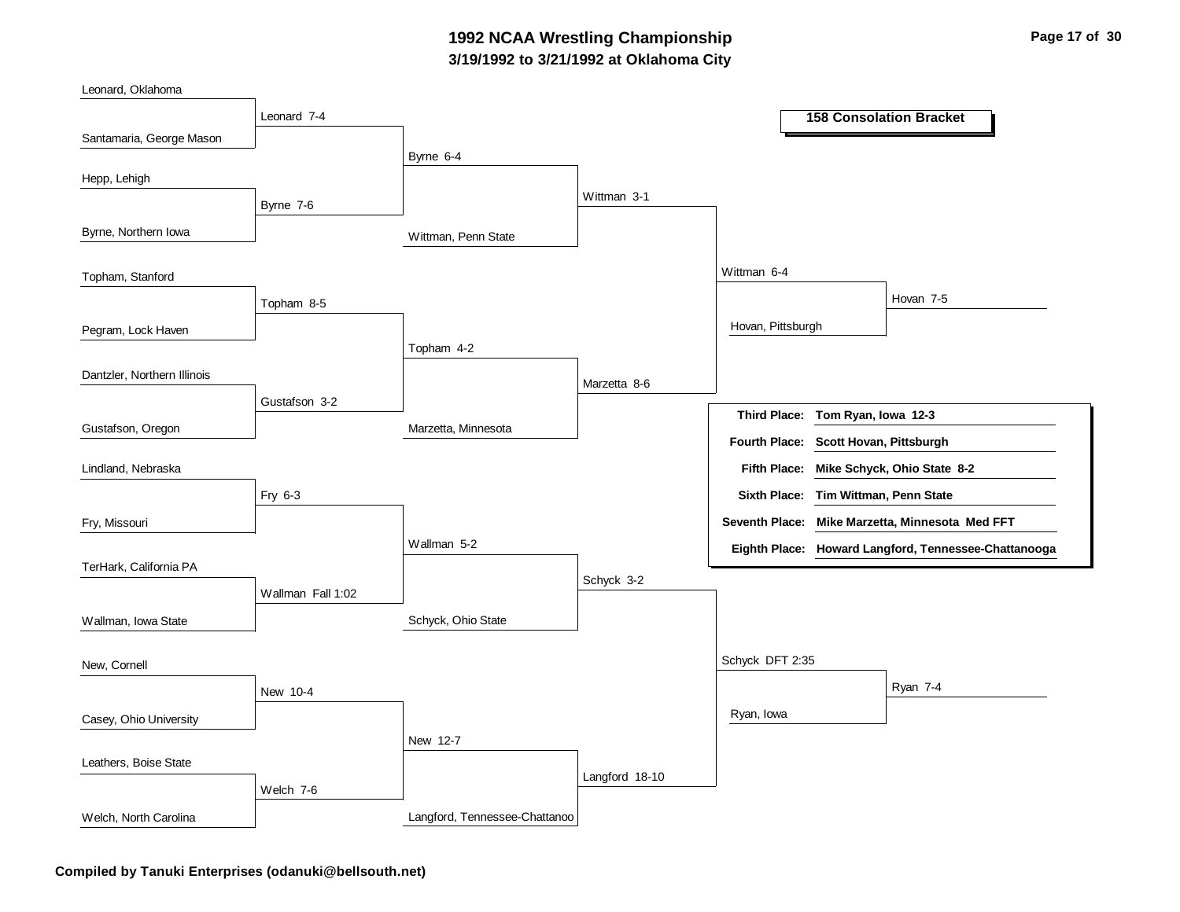### **3/19/1992 to 3/21/1992 at Oklahoma City 1992 NCAA Wrestling Championship Page 17 of 30**

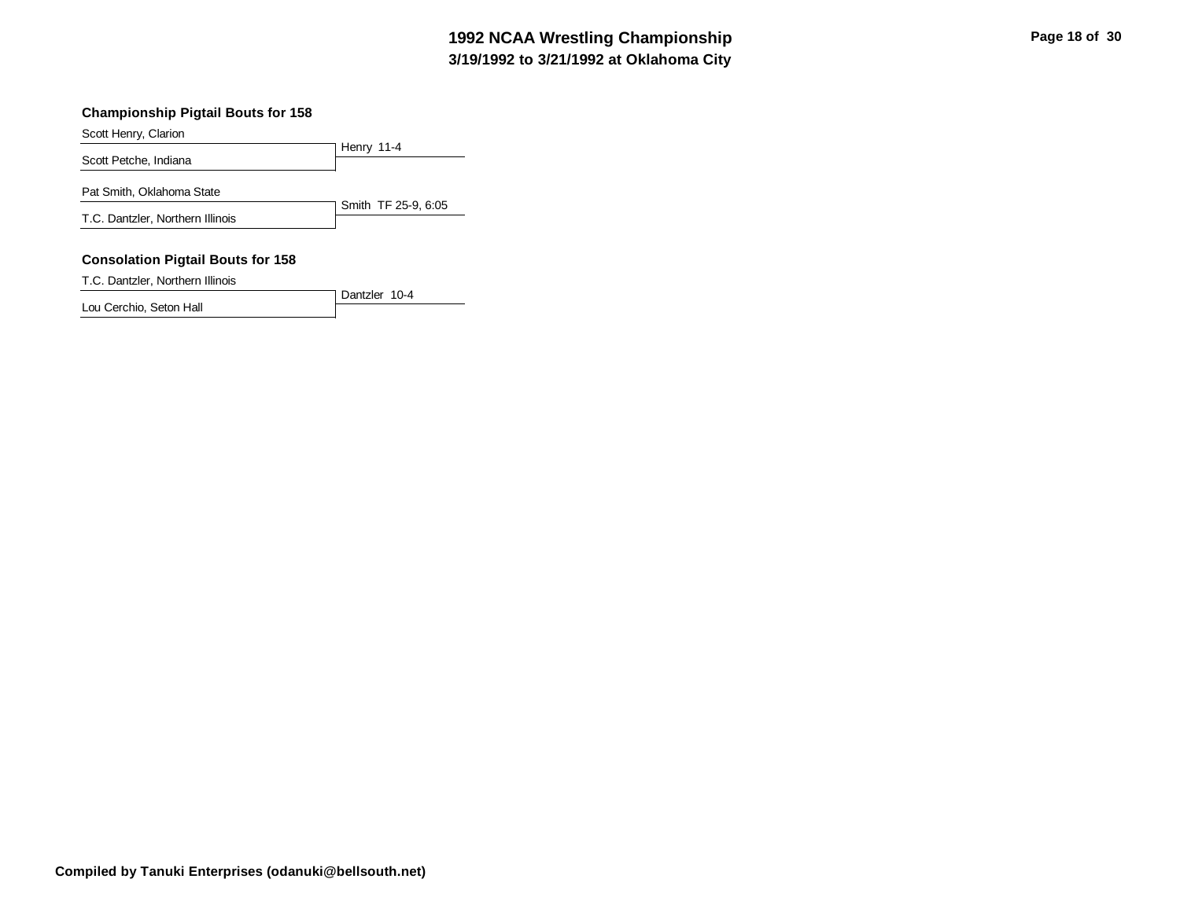# **3/19/1992 to 3/21/1992 at Oklahoma City 1992 NCAA Wrestling Championship Page 18 of 30 Page 18 of 30**

#### **Championship Pigtail Bouts for 158**

Scott Henry, Clarion

|                                  | Henry 11-4          |
|----------------------------------|---------------------|
| Scott Petche, Indiana            |                     |
| Pat Smith, Oklahoma State        |                     |
| T.C. Dantzler, Northern Illinois | Smith TF 25-9, 6:05 |
|                                  |                     |

#### **Consolation Pigtail Bouts for 158**

T.C. Dantzler, Northern Illinois

Dantzler 10-4 Lou Cerchio, Seton Hall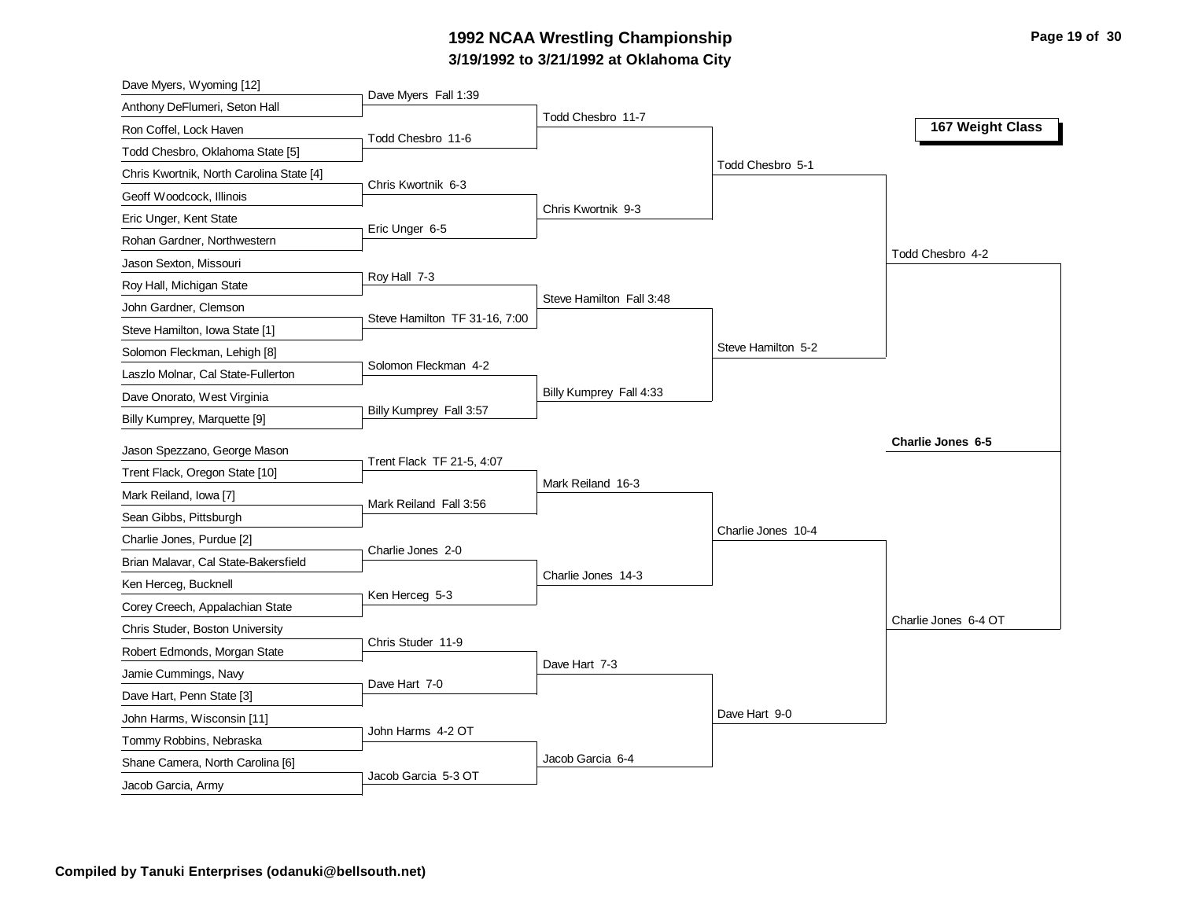# **3/19/1992 to 3/21/1992 at Oklahoma City 1992 NCAA Wrestling Championship Page 19 of 30**

| Dave Myers, Wyoming [12]                 |                               |                          |                    |                      |
|------------------------------------------|-------------------------------|--------------------------|--------------------|----------------------|
| Anthony DeFlumeri, Seton Hall            | Dave Myers Fall 1:39          | Todd Chesbro 11-7        |                    |                      |
| Ron Coffel, Lock Haven                   | Todd Chesbro 11-6             |                          |                    | 167 Weight Class     |
| Todd Chesbro, Oklahoma State [5]         |                               |                          |                    |                      |
| Chris Kwortnik, North Carolina State [4] |                               |                          | Todd Chesbro 5-1   |                      |
| Geoff Woodcock, Illinois                 | Chris Kwortnik 6-3            |                          |                    |                      |
| Eric Unger, Kent State                   | Eric Unger 6-5                | Chris Kwortnik 9-3       |                    |                      |
| Rohan Gardner, Northwestern              |                               |                          |                    |                      |
| Jason Sexton, Missouri                   |                               |                          |                    | Todd Chesbro 4-2     |
| Roy Hall, Michigan State                 | Roy Hall 7-3                  |                          |                    |                      |
| John Gardner, Clemson                    | Steve Hamilton TF 31-16, 7:00 | Steve Hamilton Fall 3:48 |                    |                      |
| Steve Hamilton, Iowa State [1]           |                               |                          |                    |                      |
| Solomon Fleckman, Lehigh [8]             |                               |                          | Steve Hamilton 5-2 |                      |
| Laszlo Molnar, Cal State-Fullerton       | Solomon Fleckman 4-2          |                          |                    |                      |
| Dave Onorato, West Virginia              |                               | Billy Kumprey Fall 4:33  |                    |                      |
| Billy Kumprey, Marquette [9]             | Billy Kumprey Fall 3:57       |                          |                    |                      |
| Jason Spezzano, George Mason             |                               |                          |                    | Charlie Jones 6-5    |
| Trent Flack, Oregon State [10]           | Trent Flack TF 21-5, 4:07     |                          |                    |                      |
| Mark Reiland, Iowa [7]                   |                               | Mark Reiland 16-3        |                    |                      |
| Sean Gibbs, Pittsburgh                   | Mark Reiland Fall 3:56        |                          |                    |                      |
| Charlie Jones, Purdue [2]                |                               |                          | Charlie Jones 10-4 |                      |
| Brian Malavar, Cal State-Bakersfield     | Charlie Jones 2-0             |                          |                    |                      |
| Ken Herceg, Bucknell                     |                               | Charlie Jones 14-3       |                    |                      |
| Corey Creech, Appalachian State          | Ken Herceg 5-3                |                          |                    |                      |
| Chris Studer, Boston University          |                               |                          |                    | Charlie Jones 6-4 OT |
| Robert Edmonds, Morgan State             | Chris Studer 11-9             |                          |                    |                      |
| Jamie Cummings, Navy                     |                               | Dave Hart 7-3            |                    |                      |
| Dave Hart, Penn State [3]                | Dave Hart 7-0                 |                          |                    |                      |
| John Harms, Wisconsin [11]               |                               |                          | Dave Hart 9-0      |                      |
| Tommy Robbins, Nebraska                  | John Harms 4-2 OT             |                          |                    |                      |
| Shane Camera, North Carolina [6]         |                               | Jacob Garcia 6-4         |                    |                      |
| Jacob Garcia, Army                       | Jacob Garcia 5-3 OT           |                          |                    |                      |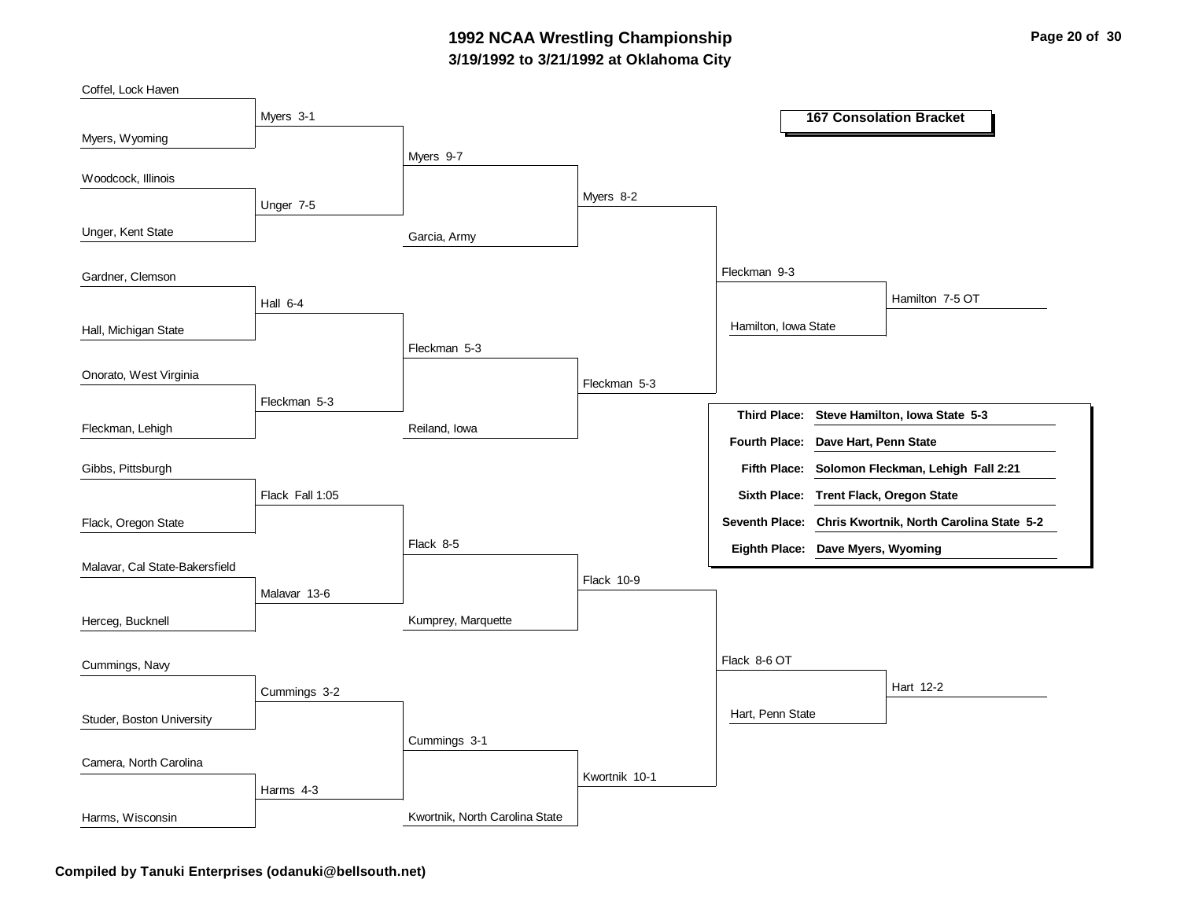### **3/19/1992 to 3/21/1992 at Oklahoma City 1992 NCAA Wrestling Championship Page 20 of 30**

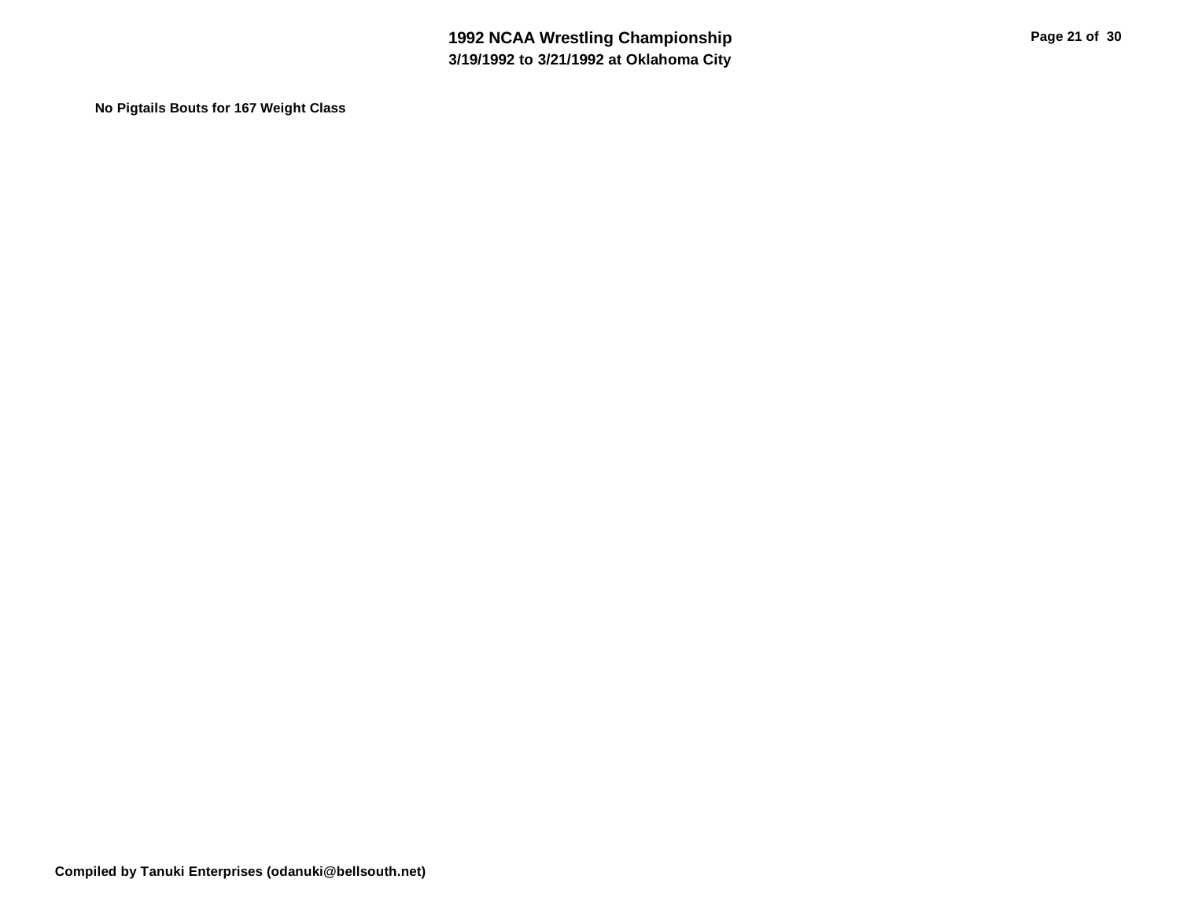**No Pigtails Bouts for 167 Weight Class**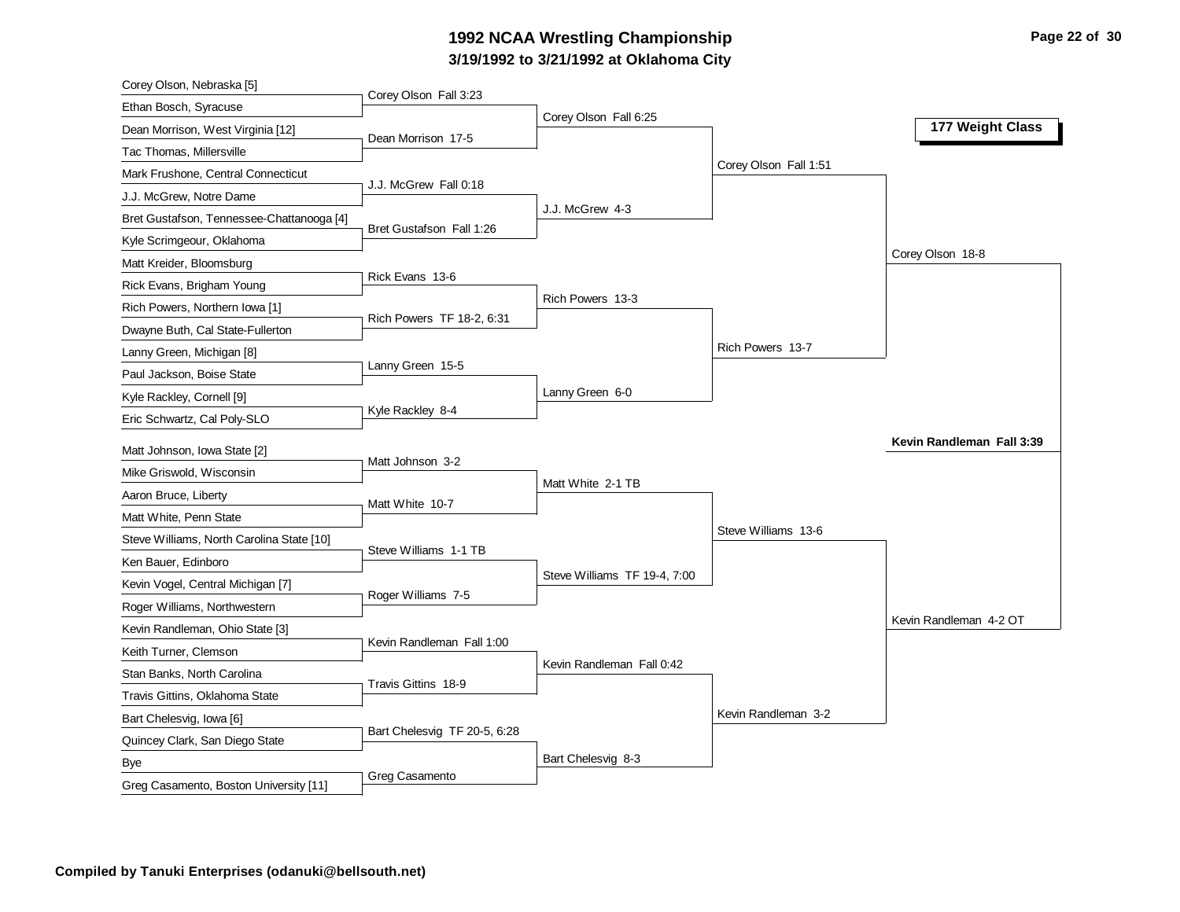# **3/19/1992 to 3/21/1992 at Oklahoma City 1992 NCAA Wrestling Championship Page 22 of 30**

| Corey Olson, Nebraska [5]                      |                              |                              |                       |                           |
|------------------------------------------------|------------------------------|------------------------------|-----------------------|---------------------------|
| Ethan Bosch, Syracuse                          | Corey Olson Fall 3:23        |                              |                       |                           |
| Dean Morrison, West Virginia [12]              | Dean Morrison 17-5           | Corey Olson Fall 6:25        |                       | 177 Weight Class          |
| Tac Thomas, Millersville                       |                              |                              |                       |                           |
| Mark Frushone, Central Connecticut             |                              |                              | Corey Olson Fall 1:51 |                           |
| J.J. McGrew, Notre Dame                        | J.J. McGrew Fall 0:18        |                              |                       |                           |
| Bret Gustafson, Tennessee-Chattanooga [4]      |                              | J.J. McGrew 4-3              |                       |                           |
| Kyle Scrimgeour, Oklahoma                      | Bret Gustafson Fall 1:26     |                              |                       |                           |
| Matt Kreider, Bloomsburg                       |                              |                              |                       | Corey Olson 18-8          |
| Rick Evans, Brigham Young                      | Rick Evans 13-6              |                              |                       |                           |
| Rich Powers, Northern Iowa [1]                 |                              | Rich Powers 13-3             |                       |                           |
| Dwayne Buth, Cal State-Fullerton               | Rich Powers TF 18-2, 6:31    |                              |                       |                           |
| Lanny Green, Michigan [8]                      |                              |                              | Rich Powers 13-7      |                           |
| Paul Jackson, Boise State                      | Lanny Green 15-5             |                              |                       |                           |
| Kyle Rackley, Cornell [9]                      |                              | Lanny Green 6-0              |                       |                           |
| Eric Schwartz, Cal Poly-SLO                    | Kyle Rackley 8-4             |                              |                       |                           |
| Matt Johnson, Iowa State [2]                   |                              |                              |                       | Kevin Randleman Fall 3:39 |
| Mike Griswold, Wisconsin                       | Matt Johnson 3-2             |                              |                       |                           |
|                                                |                              | Matt White 2-1 TB            |                       |                           |
| Aaron Bruce, Liberty<br>Matt White, Penn State | Matt White 10-7              |                              |                       |                           |
|                                                |                              |                              | Steve Williams 13-6   |                           |
| Steve Williams, North Carolina State [10]      | Steve Williams 1-1 TB        |                              |                       |                           |
| Ken Bauer, Edinboro                            |                              | Steve Williams TF 19-4, 7:00 |                       |                           |
| Kevin Vogel, Central Michigan [7]              | Roger Williams 7-5           |                              |                       |                           |
| Roger Williams, Northwestern                   |                              |                              |                       | Kevin Randleman 4-2 OT    |
| Kevin Randleman, Ohio State [3]                | Kevin Randleman Fall 1:00    |                              |                       |                           |
| Keith Turner, Clemson                          |                              | Kevin Randleman Fall 0:42    |                       |                           |
| Stan Banks, North Carolina                     | Travis Gittins 18-9          |                              |                       |                           |
| Travis Gittins, Oklahoma State                 |                              |                              | Kevin Randleman 3-2   |                           |
| Bart Chelesvig, Iowa [6]                       | Bart Chelesvig TF 20-5, 6:28 |                              |                       |                           |
| Quincey Clark, San Diego State                 |                              | Bart Chelesvig 8-3           |                       |                           |
| Bye                                            | Greg Casamento               |                              |                       |                           |
| Greg Casamento, Boston University [11]         |                              |                              |                       |                           |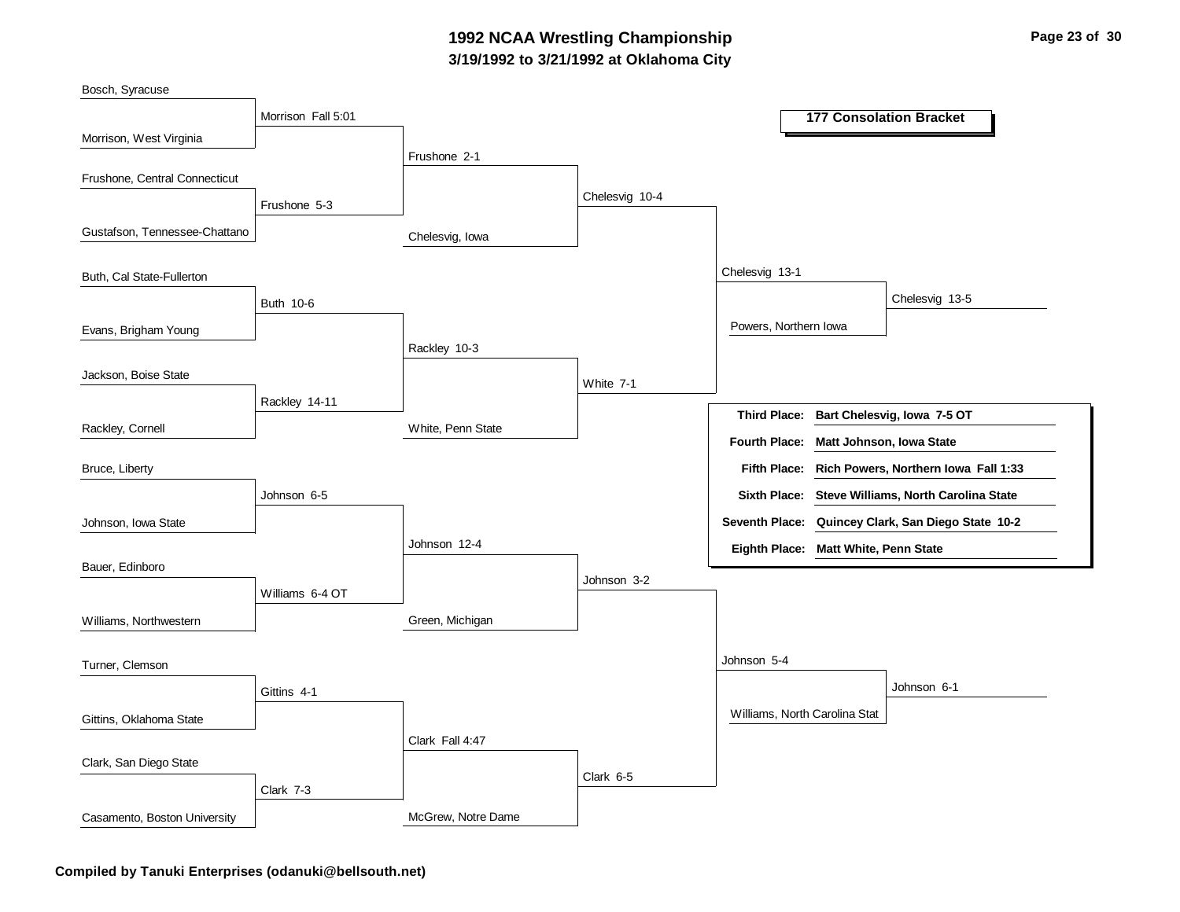### **3/19/1992 to 3/21/1992 at Oklahoma City 1992 NCAA Wrestling Championship Page 23 of 30**

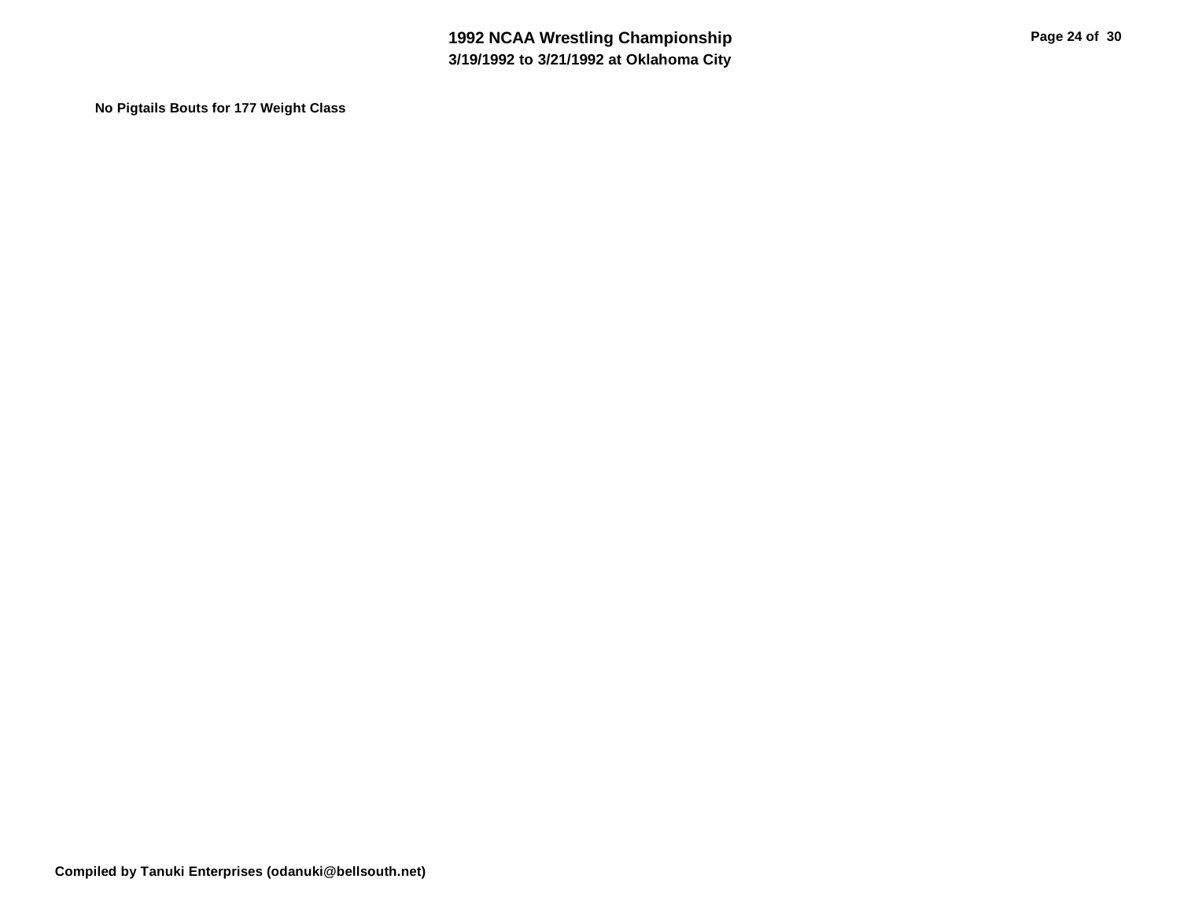**No Pigtails Bouts for 177 Weight Class**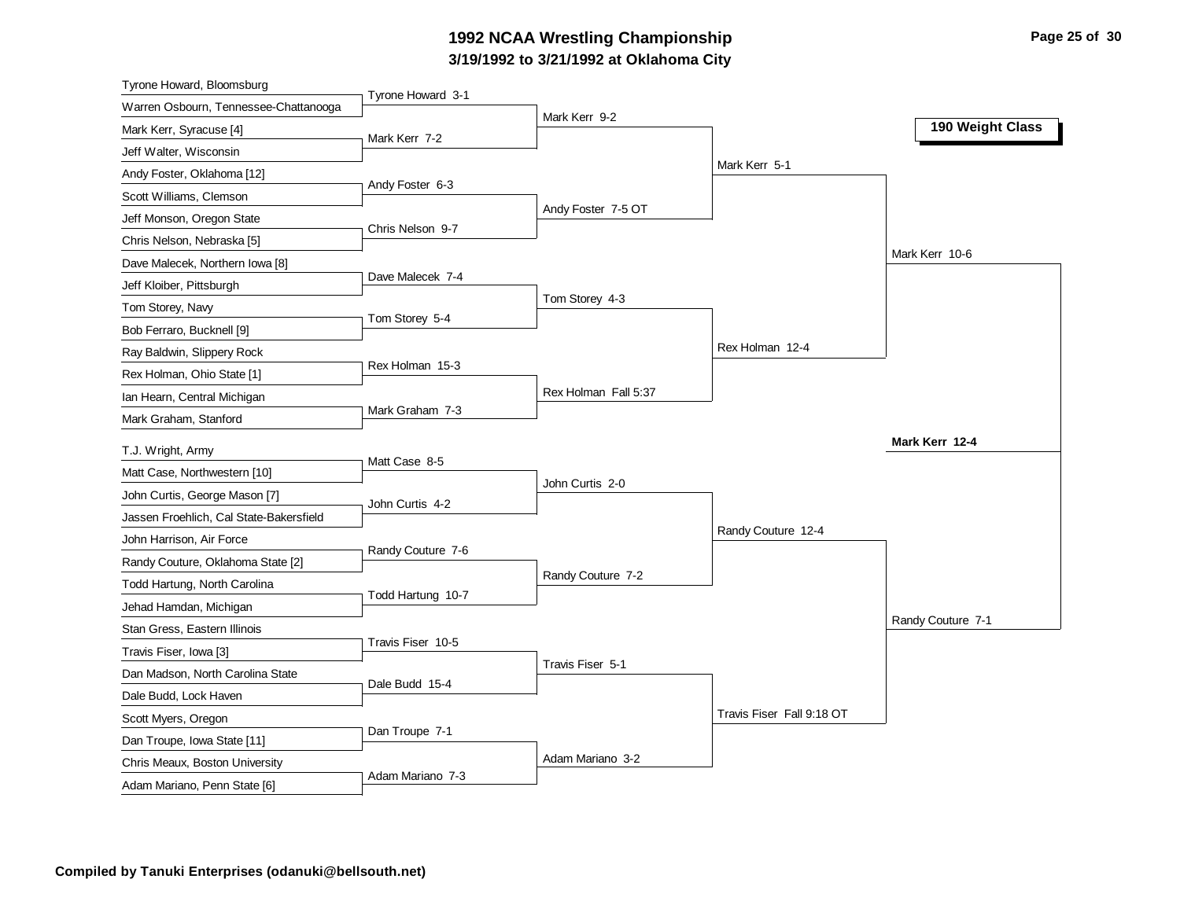# **3/19/1992 to 3/21/1992 at Oklahoma City 1992 NCAA Wrestling Championship Page 25 of 30**

| Tyrone Howard, Bloomsburg                                      |                   |                      |                           |                   |
|----------------------------------------------------------------|-------------------|----------------------|---------------------------|-------------------|
| Warren Osbourn, Tennessee-Chattanooga                          | Tyrone Howard 3-1 |                      |                           |                   |
| Mark Kerr, Syracuse [4]                                        | Mark Kerr 7-2     | Mark Kerr 9-2        |                           | 190 Weight Class  |
| Jeff Walter, Wisconsin                                         |                   |                      |                           |                   |
| Andy Foster, Oklahoma [12]                                     |                   |                      | Mark Kerr 5-1             |                   |
| Scott Williams, Clemson                                        | Andy Foster 6-3   |                      |                           |                   |
| Jeff Monson, Oregon State                                      |                   | Andy Foster 7-5 OT   |                           |                   |
| Chris Nelson, Nebraska [5]                                     | Chris Nelson 9-7  |                      |                           |                   |
| Dave Malecek, Northern Iowa [8]                                |                   |                      |                           | Mark Kerr 10-6    |
| Jeff Kloiber, Pittsburgh                                       | Dave Malecek 7-4  |                      |                           |                   |
| Tom Storey, Navy                                               |                   | Tom Storey 4-3       |                           |                   |
| Bob Ferraro, Bucknell [9]                                      | Tom Storey 5-4    |                      |                           |                   |
| Ray Baldwin, Slippery Rock                                     |                   |                      | Rex Holman 12-4           |                   |
| Rex Holman, Ohio State [1]                                     | Rex Holman 15-3   |                      |                           |                   |
| Ian Hearn, Central Michigan                                    |                   | Rex Holman Fall 5:37 |                           |                   |
| Mark Graham, Stanford                                          | Mark Graham 7-3   |                      |                           |                   |
|                                                                |                   |                      |                           | Mark Kerr 12-4    |
| T.J. Wright, Army<br>Matt Case, Northwestern [10]              | Matt Case 8-5     |                      |                           |                   |
|                                                                |                   | John Curtis 2-0      |                           |                   |
| John Curtis, George Mason [7]                                  | John Curtis 4-2   |                      |                           |                   |
| Jassen Froehlich, Cal State-Bakersfield                        |                   |                      | Randy Couture 12-4        |                   |
| John Harrison, Air Force                                       | Randy Couture 7-6 |                      |                           |                   |
| Randy Couture, Oklahoma State [2]                              |                   | Randy Couture 7-2    |                           |                   |
| Todd Hartung, North Carolina                                   | Todd Hartung 10-7 |                      |                           |                   |
| Jehad Hamdan, Michigan                                         |                   |                      |                           | Randy Couture 7-1 |
| Stan Gress, Eastern Illinois                                   | Travis Fiser 10-5 |                      |                           |                   |
| Travis Fiser, Iowa [3]                                         |                   | Travis Fiser 5-1     |                           |                   |
| Dan Madson, North Carolina State                               |                   |                      |                           |                   |
|                                                                | Dale Budd 15-4    |                      |                           |                   |
| Dale Budd, Lock Haven                                          |                   |                      |                           |                   |
| Scott Myers, Oregon                                            |                   |                      | Travis Fiser Fall 9:18 OT |                   |
| Dan Troupe, Iowa State [11]                                    | Dan Troupe 7-1    |                      |                           |                   |
| Chris Meaux, Boston University<br>Adam Mariano, Penn State [6] | Adam Mariano 7-3  | Adam Mariano 3-2     |                           |                   |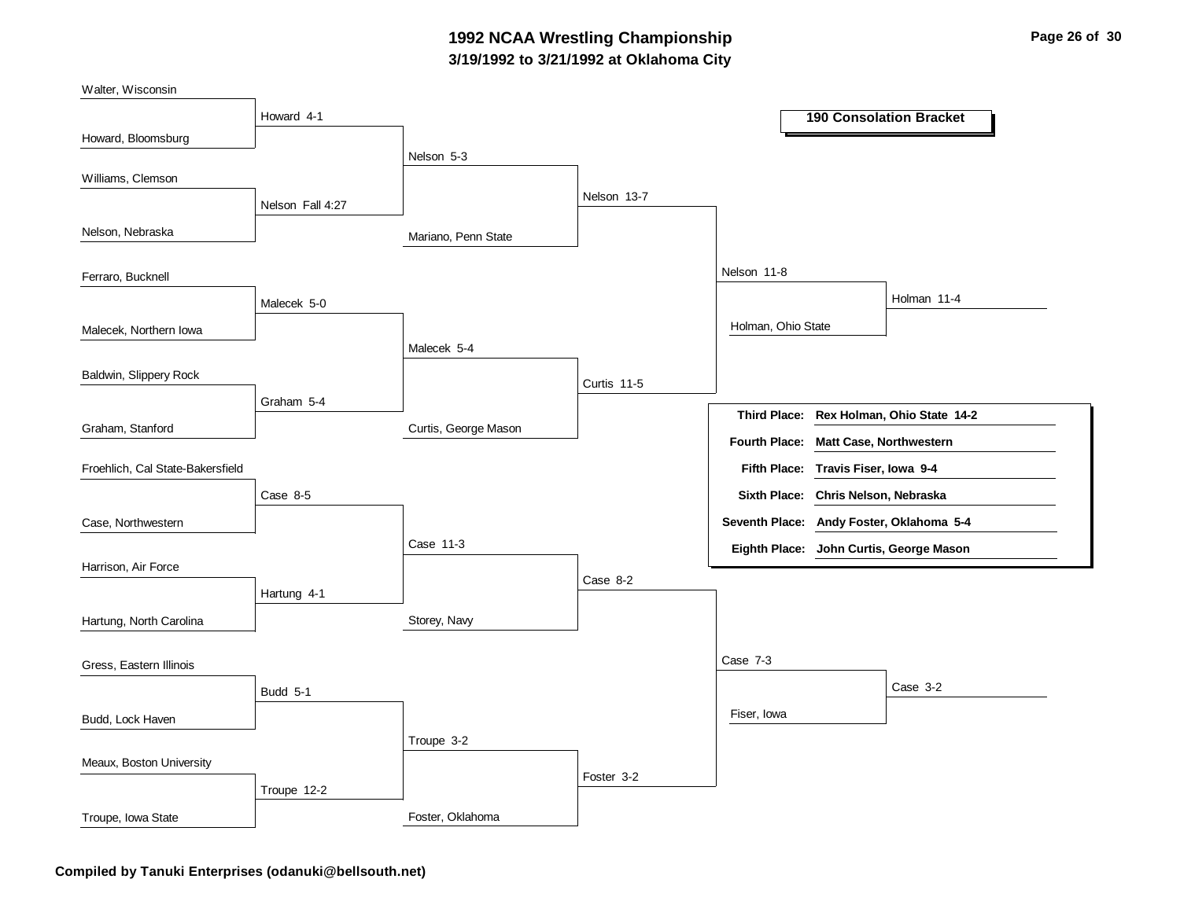### **3/19/1992 to 3/21/1992 at Oklahoma City 1992 NCAA Wrestling Championship Page 26 of 30**

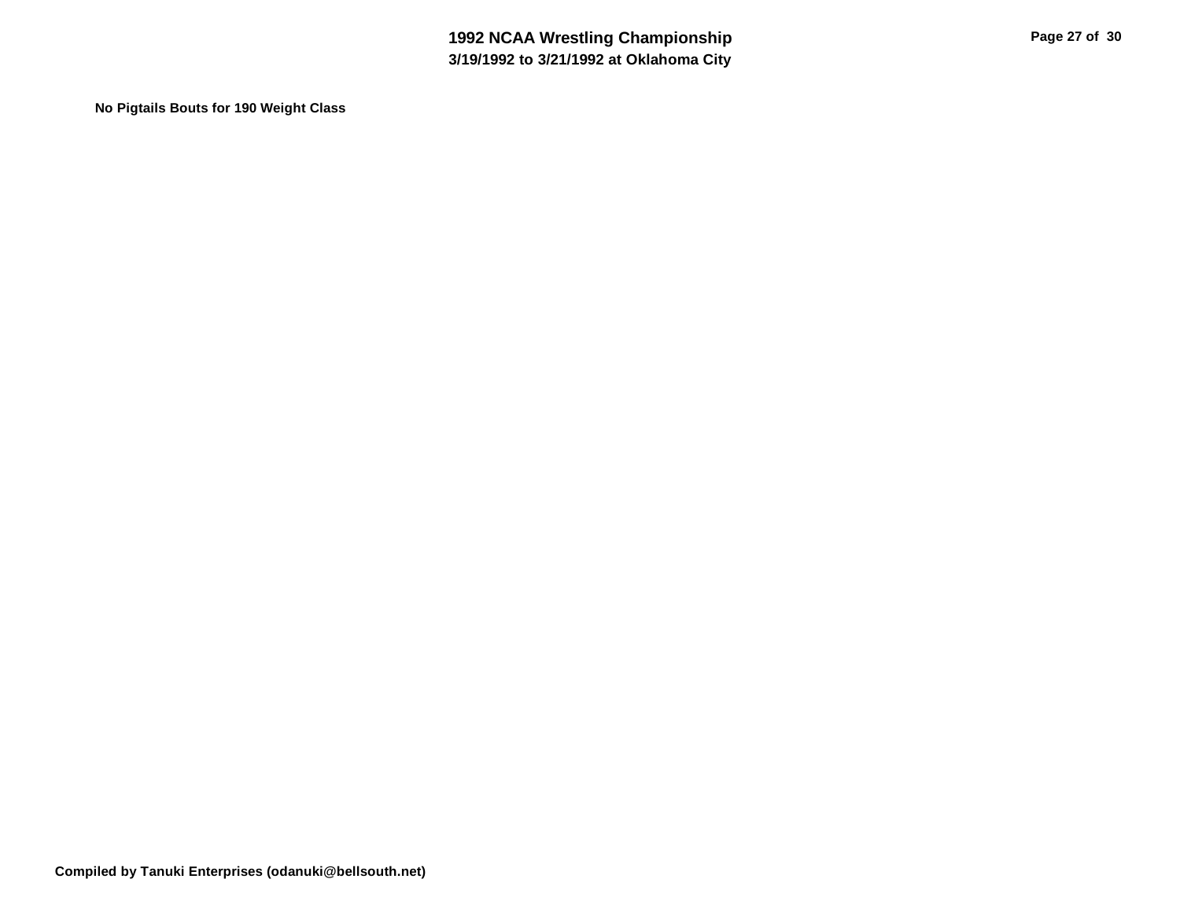**No Pigtails Bouts for 190 Weight Class**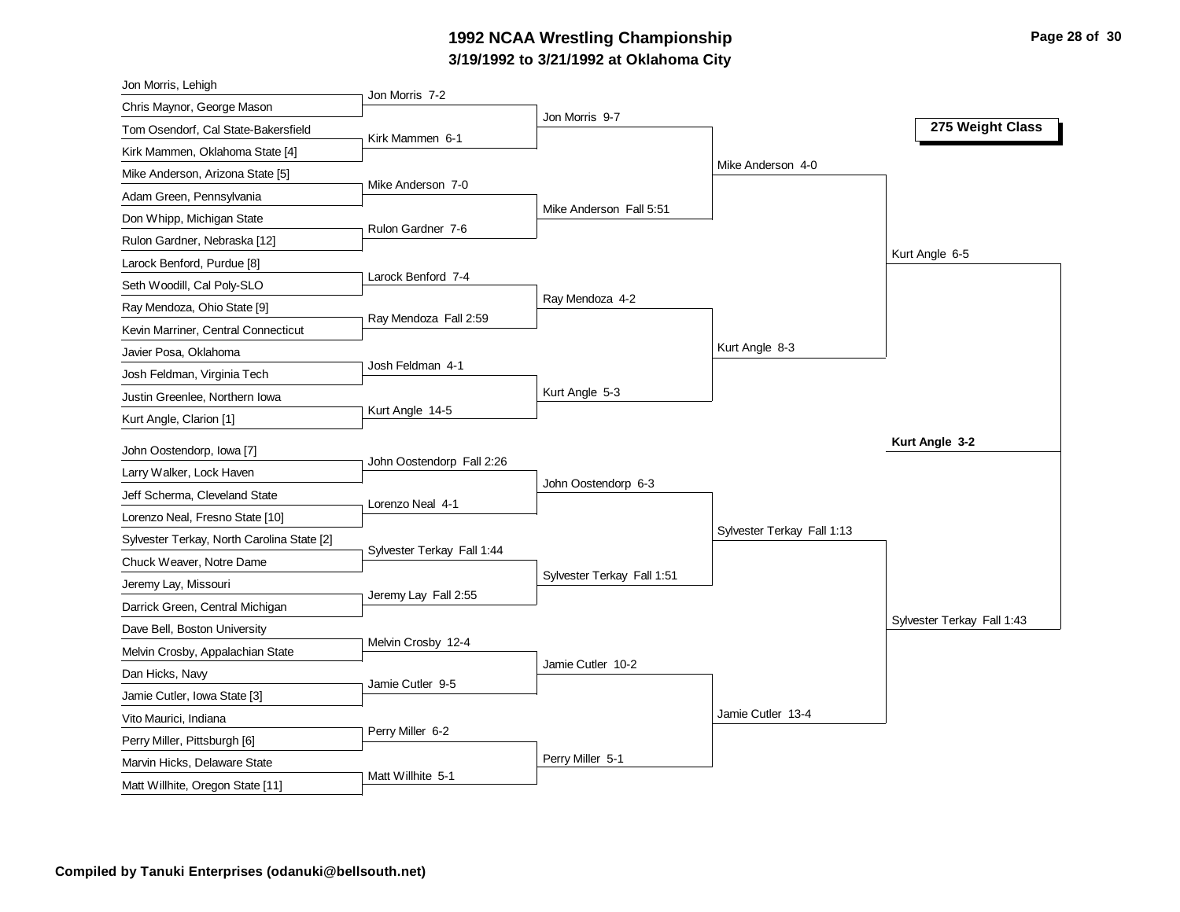# **3/19/1992 to 3/21/1992 at Oklahoma City 1992 NCAA Wrestling Championship Page 28 of 30**

| Jon Morris, Lehigh                                    |                            |                            |                            |                            |
|-------------------------------------------------------|----------------------------|----------------------------|----------------------------|----------------------------|
| Chris Maynor, George Mason                            | Jon Morris 7-2             |                            |                            |                            |
| Tom Osendorf, Cal State-Bakersfield                   | Kirk Mammen 6-1            | Jon Morris 9-7             |                            | 275 Weight Class           |
| Kirk Mammen, Oklahoma State [4]                       |                            |                            |                            |                            |
| Mike Anderson, Arizona State [5]                      |                            |                            | Mike Anderson 4-0          |                            |
| Adam Green, Pennsylvania                              | Mike Anderson 7-0          |                            |                            |                            |
| Don Whipp, Michigan State                             |                            | Mike Anderson Fall 5:51    |                            |                            |
| Rulon Gardner, Nebraska [12]                          | Rulon Gardner 7-6          |                            |                            |                            |
| Larock Benford, Purdue [8]                            |                            |                            |                            | Kurt Angle 6-5             |
| Seth Woodill, Cal Poly-SLO                            | Larock Benford 7-4         |                            |                            |                            |
| Ray Mendoza, Ohio State [9]                           |                            | Ray Mendoza 4-2            |                            |                            |
| Kevin Marriner, Central Connecticut                   | Ray Mendoza Fall 2:59      |                            |                            |                            |
| Javier Posa, Oklahoma                                 |                            |                            | Kurt Angle 8-3             |                            |
| Josh Feldman, Virginia Tech                           | Josh Feldman 4-1           |                            |                            |                            |
| Justin Greenlee, Northern Iowa                        |                            | Kurt Angle 5-3             |                            |                            |
| Kurt Angle, Clarion [1]                               | Kurt Angle 14-5            |                            |                            |                            |
|                                                       |                            |                            |                            | Kurt Angle 3-2             |
| John Oostendorp, Iowa [7]<br>Larry Walker, Lock Haven | John Oostendorp Fall 2:26  |                            |                            |                            |
| Jeff Scherma, Cleveland State                         |                            | John Oostendorp 6-3        |                            |                            |
|                                                       | Lorenzo Neal 4-1           |                            |                            |                            |
| Lorenzo Neal, Fresno State [10]                       |                            |                            | Sylvester Terkay Fall 1:13 |                            |
| Sylvester Terkay, North Carolina State [2]            | Sylvester Terkay Fall 1:44 |                            |                            |                            |
| Chuck Weaver, Notre Dame                              |                            | Sylvester Terkay Fall 1:51 |                            |                            |
| Jeremy Lay, Missouri                                  | Jeremy Lay Fall 2:55       |                            |                            |                            |
| Darrick Green, Central Michigan                       |                            |                            |                            | Sylvester Terkay Fall 1:43 |
| Dave Bell, Boston University                          | Melvin Crosby 12-4         |                            |                            |                            |
| Melvin Crosby, Appalachian State                      |                            | Jamie Cutler 10-2          |                            |                            |
| Dan Hicks, Navy                                       | Jamie Cutler 9-5           |                            |                            |                            |
| Jamie Cutler, Iowa State [3]                          |                            |                            | Jamie Cutler 13-4          |                            |
| Vito Maurici, Indiana                                 | Perry Miller 6-2           |                            |                            |                            |
| Perry Miller, Pittsburgh [6]                          |                            | Perry Miller 5-1           |                            |                            |
| Marvin Hicks, Delaware State                          | Matt Willhite 5-1          |                            |                            |                            |
| Matt Willhite, Oregon State [11]                      |                            |                            |                            |                            |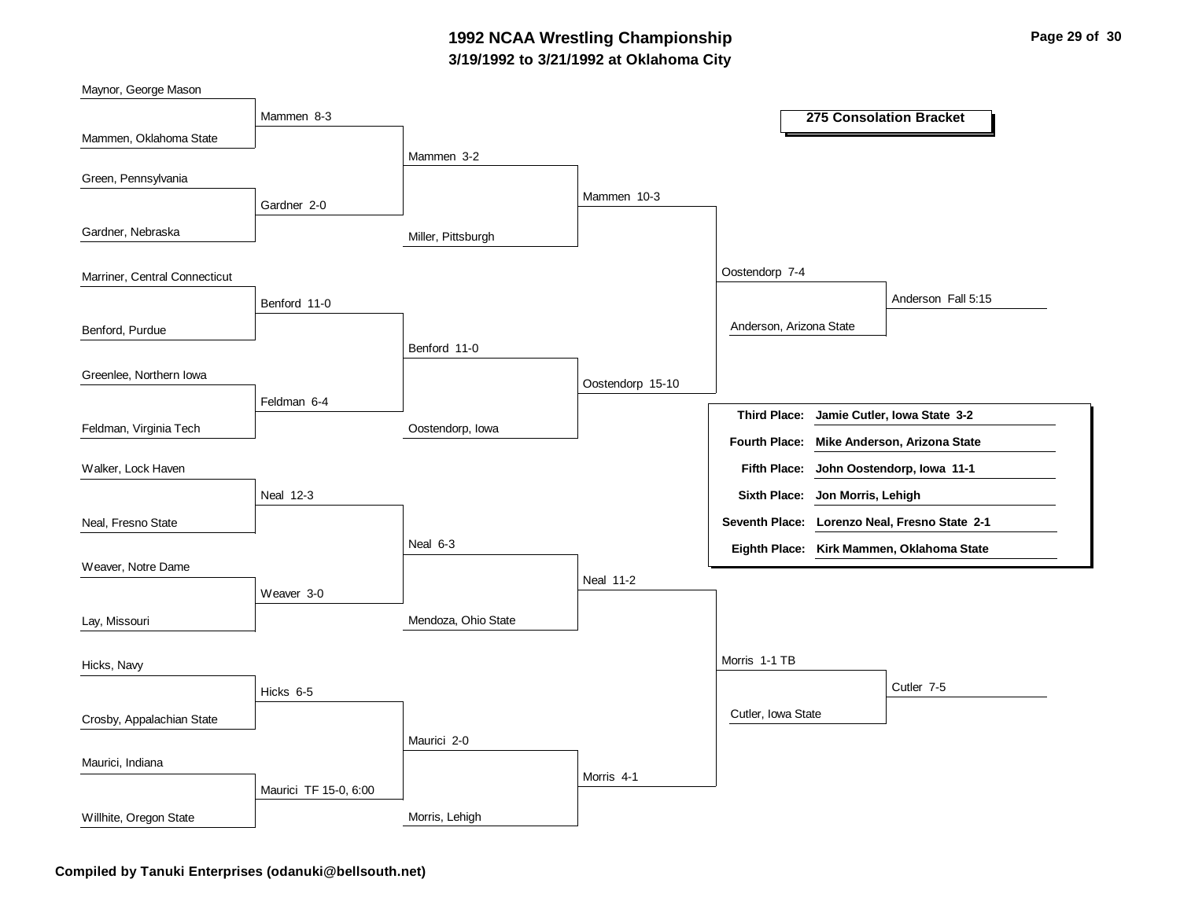# **3/19/1992 to 3/21/1992 at Oklahoma City 1992 NCAA Wrestling Championship Page 29 of 30**

| Maynor, George Mason          |                       |                     |                  |                                 |                                               |
|-------------------------------|-----------------------|---------------------|------------------|---------------------------------|-----------------------------------------------|
|                               | Mammen 8-3            |                     |                  |                                 | 275 Consolation Bracket                       |
| Mammen, Oklahoma State        |                       |                     |                  |                                 |                                               |
|                               |                       | Mammen 3-2          |                  |                                 |                                               |
| Green, Pennsylvania           | Gardner 2-0           |                     | Mammen 10-3      |                                 |                                               |
| Gardner, Nebraska             |                       | Miller, Pittsburgh  |                  |                                 |                                               |
| Marriner, Central Connecticut |                       |                     |                  | Oostendorp 7-4                  |                                               |
|                               | Benford 11-0          |                     |                  |                                 | Anderson Fall 5:15                            |
| Benford, Purdue               |                       |                     |                  | Anderson, Arizona State         |                                               |
|                               |                       | Benford 11-0        |                  |                                 |                                               |
| Greenlee, Northern Iowa       | Feldman 6-4           |                     | Oostendorp 15-10 |                                 |                                               |
|                               |                       |                     |                  |                                 | Third Place: Jamie Cutler, Iowa State 3-2     |
| Feldman, Virginia Tech        |                       | Oostendorp, Iowa    |                  | <b>Fourth Place:</b>            | Mike Anderson, Arizona State                  |
| Walker, Lock Haven            |                       |                     |                  | <b>Fifth Place:</b>             | John Oostendorp, Iowa 11-1                    |
|                               | Neal 12-3             |                     |                  | Sixth Place: Jon Morris, Lehigh |                                               |
| Neal, Fresno State            |                       |                     |                  |                                 | Seventh Place: Lorenzo Neal, Fresno State 2-1 |
| Weaver, Notre Dame            |                       | Neal 6-3            |                  |                                 | Eighth Place: Kirk Mammen, Oklahoma State     |
|                               | Weaver 3-0            |                     | <b>Neal 11-2</b> |                                 |                                               |
| Lay, Missouri                 |                       | Mendoza, Ohio State |                  |                                 |                                               |
| Hicks, Navy                   |                       |                     |                  | Morris 1-1 TB                   |                                               |
|                               | Hicks 6-5             |                     |                  |                                 | Cutler 7-5                                    |
| Crosby, Appalachian State     |                       |                     |                  | Cutler, Iowa State              |                                               |
| Maurici, Indiana              |                       | Maurici 2-0         |                  |                                 |                                               |
|                               |                       |                     | Morris 4-1       |                                 |                                               |
|                               | Maurici TF 15-0, 6:00 |                     |                  |                                 |                                               |
| Willhite, Oregon State        |                       | Morris, Lehigh      |                  |                                 |                                               |